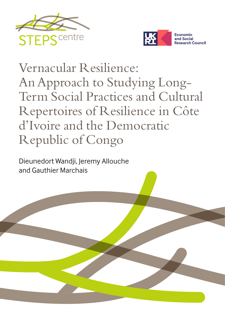



# Vernacular Resilience: An Approach to Studying Long-Term Social Practices and Cultural Repertoires of Resilience in Côte d'Ivoire and the Democratic Republic of Congo

Dieunedort Wandji, Jeremy Allouche and Gauthier Marchais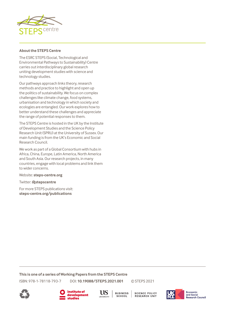

#### **About the STEPS Centre**

The ESRC STEPS (Social, Technological and Environmental Pathways to Sustainability) Centre carries out interdisciplinary global research uniting development studies with science and technology studies.

Our pathways approach links theory, research methods and practice to highlight and open up the politics of sustainability. We focus on complex challenges like climate change, food systems, urbanisation and technology in which society and ecologies are entangled. Our work explores how to better understand these challenges and appreciate the range of potential responses to them.

The STEPS Centre is hosted in the UK by the Institute of Development Studies and the Science Policy Research Unit (SPRU) at the University of Sussex. Our main funding is from the UK's Economic and Social Research Council.

We work as part of a Global Consortium with hubs in Africa, China, Europe, Latin America, North America and South Asia. Our research projects, in many countries, engage with local problems and link them to wider concerns.

Website: **[steps-centre.org](http://www.steps-centre.org)**

Twitter: **[@stepscentre](https://twitter.com/stepscentre)**

For more STEPS publications visit: **[steps-centre.org/publications](http://www.steps-centre.org/publications)**

**This is one of a series of Working Papers from the STEPS Centre**

ISBN: 978-1-78118-793-7 DOI: **[10.19088/STEPS.2021.001](https://doi.org/10.19088/STEPS.2021.001)** © STEPS 2021

**BUSINESS** SCHOOL

**SCIENCE POLICY RESEARCH UNIT** 







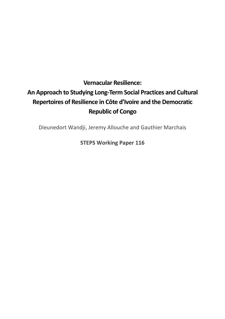## **Vernacular Resilience: An Approach to Studying Long-Term Social Practices and Cultural Repertoires of Resilience in Côte d'Ivoire and the Democratic Republic of Congo**

Dieunedort Wandji, Jeremy Allouche and Gauthier Marchais

**STEPS Working Paper 116**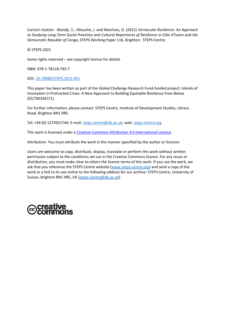Correct citation: Wandji, D., Allouche, J. and Marchais, G. (2021) *Vernacular Resilience: An Approach to Studying Long-Term Social Practices and Cultural Repertoires of Resilience in Côte d'Ivoire and the Democratic Republic of Congo*, STEPS Working Paper 116, Brighton: STEPS Centre.

© STEPS 2021

Some rights reserved – see copyright licence for details

ISBN: 978-1-78118-793-7

DOI: [10.19088/STEPS.2021.001](https://doi.org/10.19088/STEPS.2021.001)

This paper has been written as part of the Global Challenge Research Fund-funded project: Islands of Innovation in Protracted Crises: A New Approach to Building Equitable Resilience from Below [ES/T003367/1].

For further information, please contact: STEPS Centre, Institute of Development Studies, Library Road, Brighton BN1 9RE.

Tel: +44 (0) 1273915744; E-mail: steps-centre@ids.ac.uk; web: steps-centre.org

This work is licensed under a [Creative Commons Attribution 4.0 International Licence.](http://creativecommons.org/licenses/by/4.0/)

Attribution: You must attribute the work in the manner specified by the author or licensor.

Users are welcome to copy, distribute, display, translate or perform this work without written permission subject to the conditions set out in the Creative Commons licence. For any reuse or distribution, you must make clear to others the licence terms of this work. If you use the work, we ask that you reference the STEPS Centre website (www.steps-centre.org) and send a copy of the work or a link to its use online to the following address for our archive: STEPS Centre, University of Sussex, Brighton BN1 9RE, UK [\(steps-centre@ids.ac.uk\)](mailto:steps-centre@ids.ac.uk).

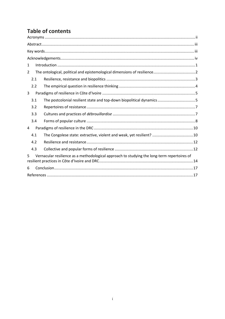## **Table of contents**

| $\mathbf{1}$                                                                                     |  |  |
|--------------------------------------------------------------------------------------------------|--|--|
| 2                                                                                                |  |  |
| 2.1                                                                                              |  |  |
| 2.2                                                                                              |  |  |
| 3                                                                                                |  |  |
| 3.1                                                                                              |  |  |
| 3.2                                                                                              |  |  |
| 3.3                                                                                              |  |  |
| 3.4                                                                                              |  |  |
| 4                                                                                                |  |  |
| 4.1                                                                                              |  |  |
| 4.2                                                                                              |  |  |
| 4.3                                                                                              |  |  |
| Vernacular resilience as a methodological approach to studying the long-term repertoires of<br>5 |  |  |
| 6                                                                                                |  |  |
|                                                                                                  |  |  |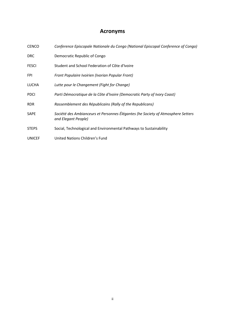## **Acronyms**

<span id="page-5-0"></span>

| <b>CENCO</b>  | Conference Episcopale Nationale du Congo (National Episcopal Conference of Congo)                       |
|---------------|---------------------------------------------------------------------------------------------------------|
| <b>DRC</b>    | Democratic Republic of Congo                                                                            |
| <b>FESCI</b>  | Student and School Federation of Côte d'Ivoire                                                          |
| <b>FPI</b>    | Front Populaire Ivoirien (Ivorian Popular Front)                                                        |
| <b>LUCHA</b>  | Lutte pour le Changement (Fight for Change)                                                             |
| <b>PDCI</b>   | Parti Démocratique de la Côte d'Ivoire (Democratic Party of Ivory Coast)                                |
| <b>RDR</b>    | Rassemblement des Républicains (Rally of the Republicans)                                               |
| <b>SAPE</b>   | Société des Ambianceurs et Personnes Élégantes (he Society of Atmosphere Setters<br>and Elegant People) |
| <b>STEPS</b>  | Social, Technological and Environmental Pathways to Sustainability                                      |
| <b>UNICEF</b> | United Nations Children's Fund                                                                          |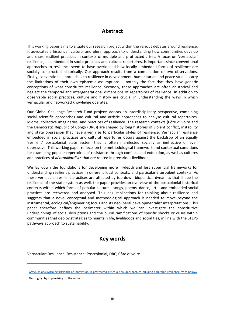## **Abstract**

<span id="page-6-0"></span>This working paper aims to situate our research project within the various debates around resilience. It advocates a historical, cultural and plural approach to understanding how communities develop and share resilient practices in contexts of multiple and protracted crises. A focus on 'vernacular' resilience, as embedded in social practices and cultural repertoires, is important since conventional approaches to resilience seem to have overlooked how locally embedded forms of resilience are socially constructed historically. Our approach results from a combination of two observations. Firstly, conventional approaches to resilience in development, humanitarian and peace studies carry the limitations of their own epistemic assumptions – notably the fact that they have generic conceptions of what constitutes resilience. Secondly, these approaches are often ahistorical and neglect the temporal and intergenerational dimensions of repertoires of resilience. In addition to observable social practices, culture and history are crucial in understanding the ways in which vernacular and networked knowledge operates.

Our Global Challenge Research Fund project<sup>1</sup> adopts an interdisciplinary perspective, combining social scientific approaches and cultural and artistic approaches to analyse cultural repertoires, idioms, collective imaginaries, and practices of resilience. The research contexts (Côte d'Ivoire and the Democratic Republic of Congo (DRC)) are shaped by long histories of violent conflict, instability and state oppression that have given rise to particular styles of resilience. Vernacular resilience embedded in social practices and cultural repertoires occurs against the backdrop of an equally 'resilient' postcolonial state system that is often manifested socially as ineffective or even oppressive. This working paper reflects on the methodological framework and contextual conditions for examining popular repertoires of resistance through conflicts and extraction, as well as cultures and practices of *débrouillardise*<sup>2</sup> that are rooted in precarious livelihoods.

We lay down the foundations for developing more in-depth and less superficial frameworks for understanding resilient practices in different local contexts, and particularly turbulent contexts. As these vernacular resilient practices are affected by top-down biopolitical dynamics that shape the resilience of the state system as well, the paper provides an overview of the postcolonial historical contexts within which forms of popular culture – songs, poems, dance, art – and embedded social practices are recovered and analysed. This has implications for thinking about resilience and suggests that a novel conceptual and methodological approach is needed to move beyond the instrumental, ecological/engineering focus and its neoliberal developmentalist interpretations. This paper therefore defines the perimeter within which we can investigate the constitutive underpinnings of social disruptions and the plural ramifications of specific shocks or crises within communities that deploy strategies to maintain life, livelihoods and social ties, in line with the STEPS pathways approach to sustainability.

### **Key words**

<span id="page-6-1"></span>Vernacular; Resilience; Resistance; Postcolonial; DRC; Côte d'Ivoire

<sup>1</sup> [www.ids.ac.uk/projects/islands-of-innovation-in-protracted-crises-a-new-approach-to-building-equitable-resilience-from-below/](http://www.ids.ac.uk/projects/islands-of-innovation-in-protracted-crises-a-new-approach-to-building-equitable-resilience-from-below/)

<sup>&</sup>lt;sup>2</sup> Getting by, by improvising on the move.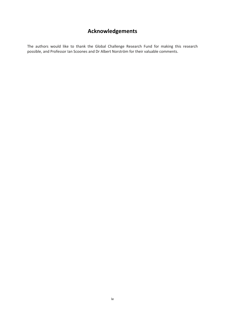## **Acknowledgements**

<span id="page-7-0"></span>The authors would like to thank the Global Challenge Research Fund for making this research possible, and Professor Ian Scoones and Dr Albert Norström for their valuable comments.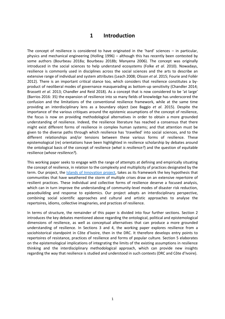## **1 Introduction**

<span id="page-8-0"></span>The concept of resilience is considered to have originated in the 'hard' sciences – in particular, physics and mechanical engineering (Holling 1996) – although this has recently been contested by some authors (Bourbeau 2018a; Bourbeau 2018b; Manyena 2006). The concept was originally introduced in the social sciences to help understand ecosystems (Folke *et al*. 2010). Nowadays, resilience is commonly used in disciplines across the social sciences and the arts to describe an extensive range of individual and system attributes (Leach 2008; Olsson *et al*. 2015; Fourie and Follér 2012). There is an important critical stance too, which considers that resilience constitutes a byproduct of neoliberal modes of governance masquerading as bottom-up sensitivity (Chandler 2014; Brassett *et al*. 2013; Chandler and Reid 2018). As a concept that is now considered to be 'at large' (Barrios 2016: 35) the expansion of resilience into so many fields of knowledge has underscored the confusion and the limitations of the conventional resilience framework, while at the same time providing an interdisciplinary lens as a boundary object (see Baggio *et al*. 2015). Despite the importance of the various critiques around the epistemic assumptions of the concept of resilience, the focus is now on providing methodological alternatives in order to obtain a more grounded understanding of resilience. Indeed, the resilience literature has reached a consensus that there might exist different forms of resilience in complex human systems; and that attention must be given to the diverse paths through which resilience has 'travelled' into social sciences, and to the different relationships and/or tensions between these various forms of resilience. These epistemological (re) orientations have been highlighted in resilience scholarship by debates around the ontological basis of the concept of resilience (*what is resilience?*) and the question of equitable resilience (*whose resilience?*).

This working paper seeks to engage with the range of attempts at defining and empirically situating the concept of resilience, in relation to the complexity and multiplicity of practices designated by the term. Our project, the **Islands of Innovation project**, takes as its framework the key hypothesis that communities that have weathered the storm of multiple crises draw on an extensive repertoire of resilient practices. These individual and collective forms of resilience deserve a focused analysis, which can in turn improve the understanding of community-level modes of disaster risk reduction, peacebuilding and response to epidemics. Our project adopts an interdisciplinary perspective, combining social scientific approaches and cultural and artistic approaches to analyse the repertoires, idioms, collective imaginaries, and practices of resilience.

In terms of structure, the remainder of this paper is divided into four further sections. Section 2 introduces the key debates mentioned above regarding the ontological, political and epistemological dimensions of resilience, as well as conceptual alternatives that can produce a more grounded understanding of resilience. In Sections 3 and 4, the working paper explores resilience from a sociohistorical standpoint in Côte d'Ivoire, then in the DRC. It therefore develops entry points to repertoires of resistance, practices of resilience and forms of popular culture. Section 5 elaborates on the epistemological implications of integrating the limits of the existing assumptions in resilience thinking and the interdisciplinary methodological approach, which can provide new insights regarding the way that resilience is studied and understood in such contexts (DRC and Côte d'Ivoire).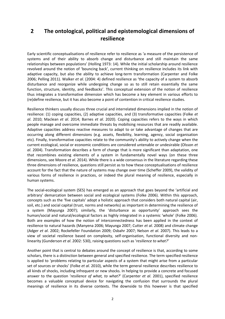## <span id="page-9-0"></span>**2 The ontological, political and epistemological dimensions of resilience**

Early scientific conceptualisations of resilience refer to resilience as 'a measure of the persistence of systems and of their ability to absorb change and disturbance and still maintain the same relationships between populations' (Holling 1973: 14). While the initial scholarship around resilience revolved around the notion of 'bouncing back', current thinking on resilience includes its link with adaptive capacity, but also the ability to achieve long-term transformation (Carpenter and Folke 2006; Pelling 2011). Walker *et al*. (2004: 4) defined resilience as 'the capacity of a system to absorb disturbance and reorganize while undergoing change so as to still retain essentially the same function, structure, identity, and feedbacks'. This conceptual extension of the notion of resilience thus integrates a transformative dimension which has become a key element in various efforts to (re)define resilience, but it has also become a point of contention in critical resilience studies.

Resilience thinkers usually discuss three crucial and interrelated dimensions implied in the notion of resilience: (1) coping capacities, (2) adaptive capacities, and (3) transformative capacities (Folke *et al*. 2010; Maclean *et al*. 2014; Barnes *et al*. 2020). Coping capacities refers to the ways in which people manage and overcome immediate threats by mobilising resources that are readily available. Adaptive capacities address reactive measures to adapt to or take advantage of changes that are occurring along different dimensions (e.g. assets, flexibility, learning, agency, social organisation etc). Finally, transformative capacities relate to the community's ability to actively change when the current ecological, social or economic conditions are considered untenable or undesirable (Olsson *et al*. 2004). Transformation describes a form of change that is more significant than adaptation, one that recombines existing elements of a system in fundamentally novel ways (on these three dimensions, see Moore *et al*. 2014). While there is a wide consensus in the literature regarding these three dimensions of resilience, questions still persist as to how these conceptualisations of resilience account for the fact that the nature of systems may change over time (Scheffer 2009), the validity of various forms of resilience in practices, or indeed the plural meaning of resilience, especially in human systems.

The social-ecological system (SES) has emerged as an approach that goes beyond the 'artificial and arbitrary' demarcation between social and ecological systems (Folke 2006). Within this approach, concepts such as the 'five capitals' adopt a holistic approach that considers both natural capital (air, soil, etc.) and social capital (trust, norms and networks) as important in determining the resilience of a system (Mayunga 2007); similarly, the 'disturbance as opportunity' approach sees the human/social and natural/ecological factors as highly integrated in a systemic 'whole' (Folke 2006). Both are examples of how the notion of interconnectedness has been applied in the context of resilience to natural hazards (Manyena 2006; Mayunga 2007; Cutter *et al*. 2008) and climate change (Adger *et al*. 2002; Rockefeller Foundation 2009; Osbahr 2007; Nelson *et al*. 2007). This leads to a view of societal resilience based on complexity, self-organisation, functional diversity and nonlinearity (Gunderson *et al*. 2002: 530), raising questions such as '*resilience to what?'*

Another point that is central to debates around the concept of resilience is that, according to some scholars, there is a distinction between general and specified resilience. The term specified resilience is applied to 'problems relating to particular aspects of a system that might arise from a particular set of sources or shocks' (Folke *et al*. 2010), while the term general resilience describes resilience to all kinds of shocks, including infrequent or new shocks. In helping to provide a concrete and focused answer to the question '*resilience of what, to what?*' (Carpenter *et al*. 2001), specified resilience becomes a valuable conceptual device for navigating the confusion that surrounds the plural meanings of resilience in its diverse contexts. The downside to this however is that specified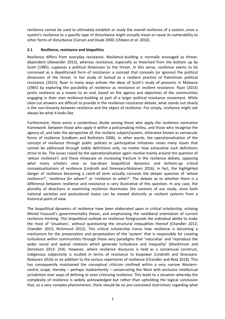resilience cannot be used to ultimately establish or study the overall resilience of a system, since a system's resilience to a specific type of disturbance might actually mean or cause its vulnerability to other forms of disturbance (Carson and Doyle 2000; Cifdaloz *et al*. 2010).

#### <span id="page-10-0"></span>**2.1 Resilience, resistance and biopolitics**

Resilience differs from everyday resistance. Resilience-building is normally envisaged as threatdependent (Alexander 2013), whereas resistance, especially as theorised from the bottom up by Scott (1985), supposes a political dimension to the threat. In this sense, resilience seems to be conceived as a depoliticised form of resistance: a concept that conceals (or ignores) the political dimension of the threat. In her study of *Sumud* as a resilient practice of Palestinian political resistance (2015), Ryan in many ways echoes the ideas of Scott's study of peasants in Malaysia (1985) by exploring the possibility of resilience as resistance or *resilient resistance*. Ryan (2015) posits resilience as a means to an end, based on the agency and objectives of the communities engaging in their own resilience-building as part of a larger political resistance movement. While clear-cut answers are difficult to provide in the resilience–resistance debate, what stands out clearly is the non-linearity between resilience and the object of resilience. Put simply, resilience might not always be what it looks like.

Furthermore, there exists a contentious divide among those who apply the resilience normative framework: between those who apply it within a policymaking milieu, and those who recognise the agency of, and take the perspective of, the resilient subject/system, otherwise known as vernacular forms of resilience (Lindbom and Rothstein 2006). In other words, the operationalisation of the concept of resilience through public policies or participative initiatives raises many issues that cannot be addressed through stable definitions only, no matter how exhaustive such definitions strive to be. The issues raised by the operationalisation again revolve mainly around the question of '*whose resilience?*, and these showcase an increasing fracture in the resilience debate, opposing what many scholars view as top-down biopolitical dynamics and bottom-up critical conceptualisations of resilience (Lindroth and Sinevaara-Niskanen 2016). In fact, the highlighted danger of resilience becoming a catch-all term actually conceals the deeper question of '*whose resilience?*', '*resilience for whom?'* or '*resilience to what?'*. The debate as to whether there is a difference between resilience and resistance is very illustrative of this question. In any case, the plurality of directions in examining resilience illuminates the contexts of our study, since both national societies and postcolonial states can be viewed distinctly as resilient systems from a historical point of view.

The biopolitical dynamics of resilience have been elaborated upon in critical scholarship, echoing Michel Foucault's governmentality theses, and emphasising the neoliberal orientation of current resilience thinking. This biopolitical outlook on resilience foregrounds the individual ability to make the most of 'situations', without questioning the structural inequalities thereof (Chandler 2012; Chandler 2013; Richmond 2012). This critical scholarship traces how resilience is becoming a mechanism for the preservation and perpetuation of the 'system' that is responsible for creating turbulence within communities through those very paradigms that 'naturalize' and 'reproduce the wider social and spatial relations which generate turbulence and inequality' (MacKinnon and Derickson 2013: 254). However, where resilience discourse is held as a consensual construct, indigenous subjectivity is studied in terms of resistance to biopower (Lindroth and Sinevaara-Niskanen 2016) or an addition to the various repertoires of resilience (Chandler and Reid 2018). This has consequently maintained the conceptual criticism confined within a very narrow Westerncentric scope, thereby – perhaps inadvertently – consecrating the West with exclusive intellectual jurisdiction over ways of defining or even criticising resilience. This leads to a situation whereby the complexity of resilience is widely acknowledged but rather than upholding the logical conclusion that, as a very complex phenomenon, there should be no pre-conceived restrictions regarding what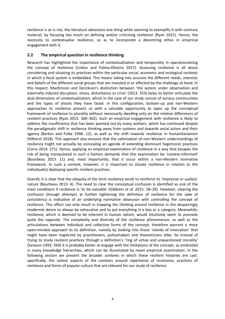resilience is or is not, the literature advocates one thing while seeming to exemplify it with contrary material, by focusing too much on defining and/or criticising resilience (Ryan 2015). Hence, the necessity to contextualise resilience, so as to incorporate a decentring ethos in empirical engagement with it.

#### <span id="page-11-0"></span>**2.2 The empirical question in resilience thinking**

Research has highlighted the importance of contextualisation and temporality in operationalising the concept of resilience (Linkov and Palma-Oliveira 2017). Assessing resilience is all about considering and situating its practices within the particular social, economic and ecological contexts in which a focal system is embedded. This means taking into account the different needs, interests and beliefs of the different social groups that are invested in or affected by the challenge at hand. In this respect, MacKinnon and Derickson's distinction between 'the system under observation and externally induced disruption, stress, disturbance or crisis' (2013: 253) helps to better articulate the dual dimensions of contextualisation, which in the case of our study consist of various communities and the types of shocks they have faced. In this configuration, bottom-up and non-Western approaches to resilience present us with a valuable opportunity to open up the conceptual framework of resilience to plurality without necessarily dwelling only on the relative differences of resilient practices (Ryan 2015: 300–302). Such an empirical engagement with resilience is likely to address the insufficiency that has been pointed out by many authors, which has continued despite the paradigmatic shift in resilience thinking away from systems and towards social actors and their agency (Berkes and Folke 1998: 12), as well as the shift towards resilience in humanitarianism (Hilhorst 2018). This approach also ensures that the valorisation of non-Western understandings of resilience might not actually be concealing an agenda of extending dominant hegemonic practices (Corry 2014: 271). Hence, applying an empirical examination of resilience in a way that escapes the risk of being manipulated in such a fashion demands that this examination be 'context-informed' (Bourbeau 2013: 11) and, most importantly, that it occur within a non-Western normative framework. In such a context, however, it is important to situate resilience in relation to the individual(s) deploying specific resilient practices.

Overall, it is clear that the ubiquity of the term resilience tends to reinforce its 'imprecise or useless' nature (Bourbeau 2013: 4). The need to clear the conceptual confusion is identified as one of the main conditions if resilience is 'to be valuable' (Gibbons *et al*. 2015: 28–29). However, clearing the confusion through attempts at further tightening the definition of resilience for the sake of consistency is indicative of an underlying normative obsession with *controlling* the concept of resilience. This effort can only result in trapping the thinking around resilience in the despairingly modernist desire to always be exhaustive and to put everything in a box or a category. Meanwhile, resilience, which is deemed to be inherent in human *nature*, would intuitively seem to promote quite the opposite. The complexity and diversity of the resilience phenomenon, as well as the articulations between individual and collective forms of the concept, therefore warrant a more open-minded approach to its definition, namely by looking into those 'islands of innovation' that might have been neglected by practitioners, policymakers and theoreticians alike. So instead of trying to study resilient practices through a definition's 'ring of virtue and unquestioned morality' (Sarason 1993: 260) it is probably better to engage with the limitations of the concept, as embroiled in many knowledge hierarchies, which can be illuminated by novel empirical examination. In the following section we present the broader contexts in which these resilient histories are cast: specifically, the salient aspects of the contexts around repertoires of resistance, practices of resilience and forms of popular culture that are relevant for our study of resilience.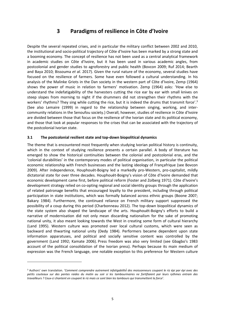## **3 Paradigms of resilience in Côte d'Ivoire**

<span id="page-12-0"></span>Despite the several repeated crises, and in particular the military conflict between 2002 and 2010, the institutional and socio-political trajectory of Côte d'Ivoire has been marked by a strong state and a booming economy. The concept of resilience has not been used as a central analytical framework in academic studies on Côte d'Ivoire, but it has been used in various academic angles, from postcolonial and gender studies to agroforestry and public health (Bovcon 2009; Ruf 2014; Bearth and Baya 2010; Bissouma *et al*. 2017). Given the rural nature of the economy, several studies have focused on the resilience of farmers. Some have even followed a cultural understanding. In his analysis of the Malinke Griots in the Dan society in the western part of Côte d'Ivoire, Zemp (1964) shows the power of music in relation to farmers' motivation. Zemp (1964) asks: 'How else to understand the indefatigability of the harvesters cutting the rice ear by ear with small knives on steep slopes from morning to night if the drummers did not strengthen their rhythms with the workers' rhythms? They sing while cutting the rice, but it is indeed the drums that transmit force'.<sup>3</sup> (See also Lemaire (1999) in regard to the relationship between singing, working, and intercommunity relations in the Senoufou society.) Overall, however, studies of resilience in Côte d'Ivoire are divided between those that focus on the resilience of the Ivorian state and its political economy, and those that look at popular responses to the crises that can be associated with the trajectory of the postcolonial Ivorian state.

#### <span id="page-12-1"></span>**3.1 The postcolonial resilient state and top-down biopolitical dynamics**

The theme that is encountered most frequently when studying Ivorian political history is continuity, which in the context of studying resilience presents a certain parallel. A body of literature has emerged to show the historical continuities between the colonial and postcolonial eras, and the 'colonial durabilities' in the contemporary modes of political organisation, in particular the political economic relationship with French businesses and the lasting ideology of Françafrique (see Bovcon 2009). After independence, Houphouët-Boigny led a markedly pro-Western, pro-capitalist, mildly dictatorial state for over three decades. Houphouët-Boigny's vision of Côte d'Ivoire demanded that economic development came first, before political reform (Foster and Zolberg 1971). Côte d'Ivoire's development strategy relied on co-opting regional and social identity groups through the application of related patronage benefits that encouraged loyalty to the president, including through political participation in state institutions, which was formally balanced across ethnic groups (Boone 2007; Bakary 1984). Furthermore, the continued reliance on French military support suppressed the possibility of a coup during this period (Charbonneau 2012). The top-down biopolitical dynamics of the state system also shaped the landscape of the arts. Houphouët-Boigny's efforts to build a narrative of modernisation did not only mean discarding nationalism for the sake of promoting national unity, it also meant looking towards the West in creating some form of cultural hierarchy (Land 1995). Western culture was promoted over local cultural customs, which were seen as backward and thwarting national unity (Dedy 1984). Performers became dependent upon state information apparatuses, and political and socially sensitive content was controlled by the government (Land 1992; Kamate 2006). Press freedom was also very limited (see Gbagbo's 1983 account of the political consolidation of the Ivorian press). Perhaps because its main medium of expression was the French language, one notable exception to this preference for Western culture

<sup>3</sup> Authors' own translation. '*Comment comprendre autrement infatigabilité́des moissonneurs coupant le riz épi par épi avec des petits couteaux sur des pentes raides du matin au soir si les tambourinaires ne fortifiaient par leurs rythmes entrain des travailleurs ? Ceux-ci chantent en coupant le riz mais ce sont bien les tambours qui transmettent la force*'*.*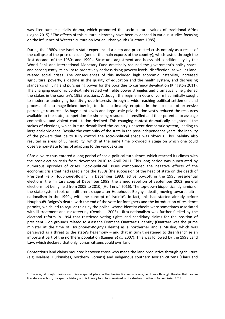was literature, especially drama, which promoted the socio-cultural values of traditional Africa (Logba 2015).<sup>4</sup> The effects of this cultural hierarchy have been evidenced in various studies focusing on the influence of Western culture on Ivorian urban youth (Ouattara 1985).

During the 1980s, the Ivorian state experienced a deep and protracted crisis notably as a result of the collapse of the price of cocoa (one of the main exports of the country), which lasted through the 'lost decade' of the 1980s and 1990s. Structural adjustment and heavy aid conditionality by the World Bank and International Monetary Fund drastically reduced the government's policy space, and consequently its ability to proactively address rising poverty levels, disaffection, as well as landrelated social crises. The consequences of this included high economic instability, increased agricultural poverty, a decline in the quality of education and the health system, and decreasing standards of living and purchasing power for the poor due to currency devaluation (Kingston 2011). The changing economic context intersected with elite power struggles and dramatically heightened the stakes in the country's 1995 elections. Although the regime in Côte d'Ivoire had initially sought to moderate underlying identity group interests through a wide-reaching political settlement and process of patronage-linked buy-in, tensions ultimately erupted in the absence of extensive patronage resources. As huge debt levels and large-scale privatisation vastly reduced the resources available to the state, competition for shrinking resources intensified and their potential to assuage competitive and violent contestation declined. This changing context dramatically heightened the stakes of elections, which in turn destabilised the country's nascent democratic system, leading to large-scale violence. Despite the continuity of the state in the post-independence years, the inability of the powers that be to fully control the socio-political space was obvious. This inability also resulted in areas of vulnerability, which at the same time provided a stage on which one could observe non-state forms of adapting to the various crises.

Côte d'Ivoire thus entered a long period of socio-political turbulence, which reached its climax with the post-election crisis from November 2010 to April 2011. This long period was punctuated by numerous episodes of crises. Socio-political issues compounded the negative effects of the economic crisis that had raged since the 1980s (the succession of the head of state on the death of President Félix Houphouët-Boigny in December 1993, active boycott in the 1995 presidential elections, the military coup of December 1999, the armed rebellion of September 2002, general elections not being held from 2005 to 2010) (Huff *et al*. 2016). The top-down biopolitical dynamics of the state system took on a different shape after Houphouët-Boigny's death, moving towards ultranationalism in the 1990s, with the concept of 'ivoirité'. In fact, this had started already before Houphouët-Boigny's death, with the end of the vote for foreigners and the introduction of residence permits, which led to regular raids by the police, whose identity checks were sometimes associated with ill-treatment and racketeering (Dembele 2003). Ultra-nationalism was further fuelled by the electoral reform in 1994 that restricted voting rights and candidacy claims for the position of president – on grounds related to Alassane Dramane Ouattara's identity (Ouattara was the prime minister at the time of Houphouët-Boigny's death) as a northerner and a Muslim, which was perceived as a threat to the state's hegemony – and that in turn threatened to disenfranchise an important part of the northern population (Langer *et al.* 2007). This was followed by the 1998 Land Law, which declared that only Ivorian citizens could own land.

Contentious land claims mounted between those who made the land productive through agriculture (e.g. Malians, Burkinabes, northern Ivorians) and indigenous southern Ivorian citizens (Klaus and

<sup>4</sup> However, although theatre occupies a special place in the Ivorian literary universe, as it was through theatre that Ivorian literature was born, the specific history of this literary form has remained in the shadow of others (Kouassi Akissi 2019).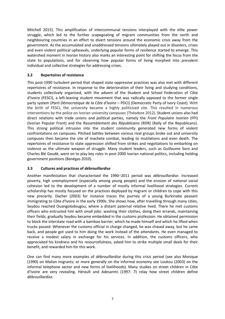Mitchell 2015). This amplification of intercommunal tensions interplayed with the elite power struggle, which led to the further scapegoating of migrant communities from the north and neighbouring countries in an effort to divert tensions around the economic crisis away from the government. As the accumulated and unaddressed tensions ultimately played out in disasters, crises and even violent political upheavals, underlying popular forms of resilience started to emerge. This watershed moment in Ivorian history also marks an interesting point for shifting the focus from the state to populations, and for observing how popular forms of living morphed into prevalent individual and collective strategies for addressing crises.

#### <span id="page-14-0"></span>**3.2 Repertoires of resistance**

This post-1990 turbulent period that shaped state oppressive practices was also met with different repertoires of resistance. In response to the deterioration of their living and studying conditions, students collectively organised, with the advent of the Student and School Federation of Côte d'Ivoire (FESCI), a left-leaning student movement that was radically opposed to the former single party system (*Parti Démocratique de la Côte d'Ivoire* – PDCI) (Democratic Party of Ivory Coast). With the birth of FESCI, the university became a highly politicised site. This resulted in numerous interventions by the police on Ivorian university campuses (Théodore 2012). Student unions also had direct relations with trade unions and political parties, namely the *Front Populaire Ivoirien* (FPI) (Ivorian Popular Front) and the *Rassemblement des Républicains* (RDR) (Rally of the Republicans). This strong political intrusion into the student community generated new forms of violent confrontations on campuses. Pitched battles between various rival groups broke out and university campuses then became the site of machete combat, leading to mutilations and even death. The repertoires of resistance to state oppression shifted from strikes and negotiations to embarking on violence as the ultimate weapon of struggle. Many student leaders, such as Guillaume Soro and Charles Blé Goudé, went on to play key roles in post-2000 Ivorian national politics, including holding government positions (Banégas 2010).

#### <span id="page-14-1"></span>**3.3 Cultures and practices of** *débrouillardise*

Another manifestation that characterised the 1990–2011 period was *débrouillardise*. Increased poverty, high unemployment (especially among young people) and the erosion of national social cohesion led to the development of a number of mostly informal livelihood strategies. Current scholarship has mostly focused on the practices deployed by migrant or children to cope with this new precarity. Dacher (2003) for instance traces the journey of a young Burkinabe peasant immigrating to Côte d'Ivoire in the early 1990s. She shows how, after travelling through many cities, Seydou reached Ouangolodougou, where a distant paternal relative lived. There he met customs officers who entrusted him with small jobs: washing their clothes, doing their errands, maintaining their fields; gradually Seydou became embedded in the customs profession. He obtained permission to block the interstate road with a bamboo barrier, which he made himself and which he lifted when trucks passed. Whenever the customs official in charge changed, he was chased away, but he came back, and people got used to him doing the work instead of the attendants. He even managed to receive a modest salary in exchange for his services. In addition, the customs officers, who appreciated his kindness and his resourcefulness, asked him to strike multiple small deals for their benefit, and rewarded him for this work.

One can find many more examples of *débrouillardise* during this crisis period (see also Monique (1990) on Malian migrants; or more generally on the informal economy see Loukou (2003) on the informal telephone sector and new forms of livelihoods). Many studies on street children in Côte d'Ivoire are very revealing. Hérault and Adesanmi (1997: 7) relay how street children define *débrouillardise*.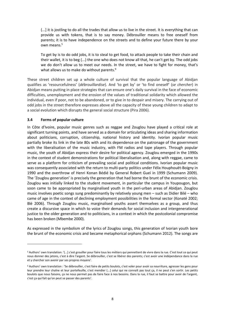(...] it is jostling to do all the trades that allow us to live in the street. It is everything that can provide us with tokens, that is to say money. Débrouiller means to free oneself from parents; it is to have independence on the streets and to define your future there by your own means. 5

To get by is to do odd jobs, it is to steal to get food, to attack people to take their chain and their wallet, it is to beg (...) the one who does not know all that, he can't get by. The odd jobs we do don't allow us to meet our needs. In the street, we have to fight for money, that's what allows us to make do without parents.<sup>6</sup>

These street children set up a whole culture of survival that the popular language of Abidjan qualifies as 'resourcefulness' (*débrouillardise*). And 'to get by' or 'to find oneself' (*se chercher*) in Abidjan means putting in place strategies that can ensure one's daily survival in the face of economic difficulties, unemployment and the erosion of the values of traditional solidarity which allowed the individual, even if poor, not to be abandoned, or to give in to despair and misery. The carrying out of odd jobs in the street therefore expresses above all the capacity of these young children to adapt to a social evolution which disrupts the general social structure (Pira 2006).

#### <span id="page-15-0"></span>**3.4 Forms of popular culture**

In Côte d'Ivoire, popular music genres such as reggae and Zouglou have played a critical role at significant turning points, and have served as a domain for articulating ideas and sharing information about politicians, corruption, citizenship, national history and identity. Ivorian popular music partially broke its link in the late 80s with and its dependence on the patronage of the government with the liberalisation of the music industry, with FM radios and tape players. Through popular music, the youth of Abidjan express their desire for political agency. Zouglou emerged in the 1990s in the context of student demonstrations for political liberalisation and, along with reggae, came to serve as a platform for criticism of prevailing social and political conditions. Ivorian popular music was consequently associated with the return to multi-party politics under Félix Houphouët-Boigny in 1990 and the overthrow of Henri Konan Bédié by General Robert Gueï in 1999 (Schumann 2009). The 'Zouglou generation' is precisely the generation that had borne the brunt of the economic crisis. Zouglou was initially linked to the student movement, in particular the campus in Youpougon, but soon came to be appropriated by marginalised youth in the peri-urban areas of Abidjan. Zouglou music involves poetic songs sung predominantly by relatively young men – such as Didier Bilé – who came of age in the context of declining employment possibilities in the formal sector (Konaté 2002; Blé 2006). Through Zouglou music, marginalised youths assert themselves as a group, and thus create a discursive space in which to voice their demands for social inclusion and intergenerational justice to the older generation and to politicians, in a context in which the postcolonial compromise has been broken (Mbembe 2000).

As expressed in the symbolism of the lyrics of Zouglou songs, this generation of Ivorian youth bore the brunt of the economic crisis and became metaphorical orphans (Schumann 2012). The songs are

<sup>5</sup> Authors' own translation: '(...] c'est grouiller pour faire tous les métiers qui pennettent de vivre dans la rue. C'est tout ce qui peut nous donner des jetons, c'est à dire l'argent. Se débrouiller, c'est se libérer des parents; c'est avoir une indépendance dans la rue et y chercher son avenir par ses propres moyens'.

<sup>6</sup> Authors' own translation : 'Se débrouiller, c'est faire de petits boulots, c'est voler pour avoir sa nourriture, agresser les gens pour leur prendre leur chaîne et leur portefeuille, c'est mendier (...] celui qui ne connaît pas tout ça, il ne peut s'en sortir. Les petits boulots que nous faisons, ça ne nous permet pas de faire face à nos besoins. Dans la rue, il faut se battre pour avoir de l'argent, c'est ça qui fait qu'on peut se passer des parents'.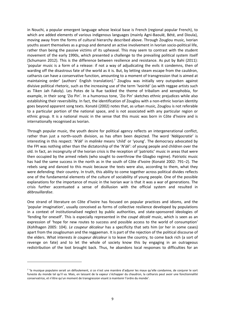in Nouchi, a popular emergent language whose lexical base is French (regional popular French), to which are added elements of various indigenous languages (mainly Agni-Baoulé, Bété, and Dioula), moving away from the forms of cultural hierarchy described above. Through Zouglou music, Ivorian youths assert themselves as a group and demand an active involvement in Ivorian socio-political life, rather than being the passive victims of its upheaval. This may seem to contrast with the student movement of the early 1990s, which presented a challenge to the prevailing political system itself (Schumann 2012). This is the difference between resilience and resistance. As put by Bahi (2011): 'popular music is a form of a release: if not a way of adjudicating the evils it condemns, then of warding off the disastrous fate of the world as it is. But, by letting steam escape from the cauldron, catharsis can have a conservative function, amounting to a moment of transgression that is aimed at maintaining order' (authors' English translation). 7 Zouglou was initially very outspoken against divisive political rhetoric, such as the increasing use of the term 'Ivoirité' (as with reggae artists such as Tiken Jah Fakoly). Les Potes de la Rue tackled the theme of tribalism and xenophobia, for example, in their song 'Zio Pin'. In a humorous tone, 'Zio Pin' sketches ethnic prejudices while also establishing their reversibility. In fact, the identification of Zouglou with a non-ethnic Ivorian identity goes beyond apparent song texts. Konaté (2002) notes that, as urban music, Zouglou is not referable to a particular portion of the national space, and is not associated with any particular region or ethnic group. It is a national music in the sense that this music was born in Côte d'Ivoire and is internationally recognised as Ivorian.

Through popular music, the youth desire for political agency reflects an intergenerational conflict, rather than just a north–south division, as has often been depicted. The word '*Ndégocratie*' is interesting in this respect: '*N'dé*' in *malinke* means 'child' or 'young'. The democracy advocated by the FPI was nothing other than the dictatorship of the '*N'dé*': of young people and children over the old. In fact, an incongruity of the Ivorian crisis is the reception of 'patriotic' music in areas that were then occupied by the armed rebels (who sought to overthrow the Gbagbo regime). Patriotic music has had the same success in the north as in the south of Côte d'Ivoire (Konaté 2002: 791–2). The rebels sang and danced to this music because the texts were also, according to them, what they were defending: their country. In truth, this ability to come together across political divides reflects one of the fundamental elements of the culture of sociability of young people. One of the possible explanations for the importance of music in the Ivorian war is that it was a war of generations. The crisis further accentuated a sense of disillusion with the official system and resulted in *débrouillardise*.

One strand of literature on Côte d'Ivoire has focused on popular practices and idioms, and the 'popular imagination', usually conceived as forms of collective resilience developed by populations in a context of institutionalised neglect by public authorities, and state-sponsored ideologies of 'fending for oneself'. This is especially represented in the *coupé décalé* music, which is seen as an expression of 'hope for new routes to success and possible access to the world of consumption' (Kohlhagen 2005: 104). *Le coupeur décaleur* has a specificity that sets him (or her in some cases) apart from the zouglouman and the reggaeman. It is part of the rejection of the political discourse of the elders. What interests *le coupeur décaleur* is to leave the country, to come back rich (a sort of revenge on fate) and to let the whole of society know this by engaging in an outrageous redistribution of the loot brought back. Thus, he abandons local responses to difficulties for an

<sup>7</sup> 'la musique populaire serait un défoulement, si ce n'est une manière d'adjurer les maux qu'elle condamne, de conjurer le sort funeste du monde tel qu'il va. Mais, en laissant de la vapeur s'échapper du chaudron, la catharsis peut avoir une fonctionnalité conservatrice, et n'être qu'un moment de transgression visant à maintenir l'ordre du monde'.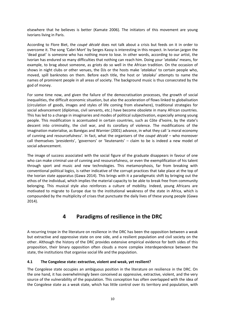elsewhere that he believes is better (Kamate 2006). The initiators of this movement are young Ivorians living in Paris.

According to Flore Biet, the *coupé décalé* does not talk about a crisis but feeds on it in order to overcome it. The song *'*Cabri Mort' by Serges Kassy is interesting in this respect. In Ivorian jargon the 'dead goat' is someone who has nothing more to lose. In other words, according to our artist, the Ivorian has endured so many difficulties that nothing can reach him. Doing your '*atalaku*' means, for example, to brag about someone, as griots do so well in the African tradition. On the occasion of shows in night clubs or other venues, the DJs or the hosts make '*atalakus*' to certain people who, moved, spill banknotes on them. Before each title, the host or '*atalaku*' attempts to name the names of prominent people in all areas of society. The background music is thus consecrated by the god of money.

For some time now, and given the failure of the democratisation processes, the growth of social inequalities, the difficult economic situation, but also the acceleration of flows linked to globalisation (circulation of goods, images and styles of life coming from elsewhere), traditional strategies for social advancement (diplomas, civil servants, etc.) have become obsolete in many African countries. This has led to a change in imaginaries and modes of political subjectivation, especially among young people. This modification is accentuated in certain countries, such as Côte d'Ivoire, by the state's descent into criminality, the civil war, and its corollary of violence. The modifications of the imagination materialise, as Banégas and Warnier (2001) advance, in what they call 'a moral economy of cunning and resourcefulness'. In fact, what the organisers of the *coupé décalé* – who moreover call themselves 'presidents', 'governors' or 'lieutenants' – claim to be is indeed a new model of social advancement.

The image of success associated with the social figure of the graduate disappears in favour of one who can make criminal use of cunning and resourcefulness, or even the exemplification of his talent through sport and music and new technologies. This metamorphosis, far from breaking with conventional political logics, is rather indicative of the corrupt practices that take place at the top of the Ivorian state apparatus (Gawa 2014). This brings with it a paradigmatic shift by bringing out the ethos of the individual, which implies the material capacity to be able to break free from community belonging. This musical style also reinforces a culture of mobility. Indeed, young Africans are motivated to migrate to Europe due to the institutional weakness of the state in Africa, which is compounded by the multiplicity of crises that punctuate the daily lives of these young people (Gawa 2014).

## **4 Paradigms of resilience in the DRC**

<span id="page-17-0"></span>A recurring trope in the literature on resilience in the DRC has been the opposition between a weak but extractive and oppressive state on one side, and a resilient population and civil society on the other. Although the history of the DRC provides extensive empirical evidence for both sides of this proposition, their binary opposition often clouds a more complex interdependence between the state, the institutions that organise social life and the population.

#### <span id="page-17-1"></span>**4.1 The Congolese state: extractive, violent and weak, yet resilient?**

The Congolese state occupies an ambiguous position in the literature on resilience in the DRC. On the one hand, it has overwhelmingly been conceived as oppressive, extractive, violent, and the very source of the vulnerability of the population. This conception has often overlapped with the idea of the Congolese state as a weak state, which has little control over its territory and population, with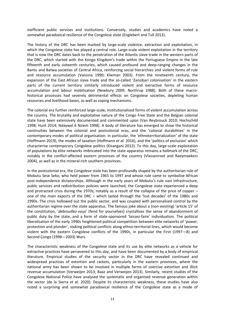inefficient public services and institutions. Conversely, studies and academics have noted a somewhat paradoxical resilience of the Congolese state (Englebert and Tull 2013).

The history of the DRC has been marked by large-scale violence, extraction and exploitation, in which the Congolese state has played a central role. Large-scale violent exploitation in the territory that is now the DRC dates back to the penetration of the Atlantic slave trade in the western parts of the DRC, which started with the Kongo Kingdom's trade within the Portuguese Empire in the late fifteenth and early sixteenth centuries, which caused profound and deep-ranging changes in the Bantu and Batwa societies of Central Africa, reinforcing social hierarchies and violent forms of rule and resource accumulation (Vansina 1990; Klieman 2003). From the nineteenth century, the expansion of the East African slave trade and the so-called 'Zanzibari colonisation' in the eastern parts of the current territory similarly introduced violent and extractive forms of resource accumulation and labour mobilisation (Newbury 2009; Northrup 1988). Both of these macrohistorical processes had severely detrimental effects on Congolese societies, depleting human resources and livelihood bases, as well as coping mechanisms.

The colonial era further reinforced large-scale, institutionalised forms of violent accumulation across the country. The brutality and exploitative nature of the Congo Free State and the Belgian colonial state have been extensively documented and commented upon (Van Reybrouck 2010; Hochschild 1998; Hunt 2014; Ndaywel è Nziem 1998). A body of literature has emerged to show the historical continuities between the colonial and postcolonial eras, and the 'colonial durabilities' in the contemporary modes of political organisation: in particular, the 'ethnoterritorialization' of the state (Hoffmann 2019), the modes of taxation (Hoffmann *et al.* 2016), and the 'politics of exclusion' which characterise contemporary Congolese politics (Kisangani 2012). To this day, large-scale exploitation of populations by elite networks imbricated into the state apparatus remains a hallmark of the DRC, notably in the conflict-affected eastern provinces of the country (Vlassenroot and Raeymaekers 2004), as well as in the mineral-rich southern provinces.

In the postcolonial era, the Congolese state has been profoundly shaped by the authoritarian rule of Mobutu Sese Seko, who held power from 1965 to 1997 and whose rule came to symbolise African post-independence dictatorships. Although in the early years of Mobutu's rule vast infrastructure, public services and redistribution policies were launched, the Congolese state experienced a deep and protracted crisis during the 1970s, notably as a result of the collapse of the price of copper – one of the main exports of the DRC – which lasted through the 'lost decades' of the 1980s and 1990s. The crisis hollowed out the public sector, and was coupled with personalised control by the authoritarian regime over the state apparatus. The famous joke about a (non-existing) 'article 15' of the constitution, '*debrouillez-vous*' (fend for yourselves) crystallises the sense of abandonment of public duty by the state, and a form of state-sponsored 'laissez-faire' individualism. The political liberalisation of the early 1990s heightened political competition between elite networks of 'power, protection and plunder', stoking political conflicts along ethno-territorial lines, which would become violent with the eastern Congolese conflicts of the 1990s, in particular the First (1997—8) and Second Congo (1998—2003) Wars.

The characteristic weakness of the Congolese state and its use by elite networks as a vehicle for extractive practices have persevered to this day, and have been documented by a body of empirical literature. Empirical studies of the security sector in the DRC have revealed continued and widespread practices of extortion and rackets, particularly in the eastern provinces, where the national army has been shown to be involved in multiple forms of coercive extortion and illicit revenue accumulation (Verweijen 2013; Baaz and Verweijen 2013). Similarly, recent studies of the Congolese National Police have analysed the systematic and organised revenue generation within the sector (de la Sierra *et al*. 2020). Despite its characteristic weakness, these studies have also noted a surprising and somewhat paradoxical resilience of the Congolese state as a mode of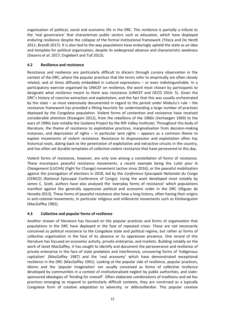organisation of political, social and economic life in the DRC. This resilience is partially a tribute to the 'real governance' that characterises public sectors such as education, which have displayed enduring resilience despite the collapse of the formal institutional framework (Titeca and De Herdt 2011; Brandt 2017). It is also tied to the way populations have enduringly upheld the state as an idea and template for political organisation, despite its widespread absence and characteristic weakness (Stearns *et al*. 2017; Englebert and Tull 2013).

#### <span id="page-19-0"></span>**4.2 Resilience and resistance**

Resistance and resilience are particularly difficult to discern through cursory observation in the context of the DRC, where the popular practices that the terms refer to empirically are often closely related, and at times diffusely embedded in cultural expressions – or even indistinguishable. In a participatory exercise organised by UNICEF on resilience, the word most chosen by participants to designate what resilience meant to them was resistance (UNICEF and OECD 2014: 5). Given the DRC's history of coercive extraction and exploitation, and the fact that this was usually orchestrated by the state – as most extensively documented in regard to the period under Mobutu's rule – the resistance framework has provided a fitting heuristic for understanding a large number of practices deployed by the Congolese population. Violent forms of contention and resistance have received considerable attention (Kisangani 2012), from the rebellions of the 1960s (Verhaegen 1969) to the wars of 1990s (see notably the Usalama Project by the Rift Valley Institute). Throughout this body of literature, the theme of resistance to exploitative practices, marginalisation from decision-making instances, and deprivation of rights – in particular land rights – appears as a common theme to explain movements of violent resistance. Resistance to dispossession and exploitation often has historical roots, dating back to the penetration of exploitative and extractive circuits in the country, and has often set durable templates of collective violent resistance that have persevered to this day.

Violent forms of resistance, however, are only one among a constellation of forms of resistance. These encompass peaceful resistance movements, a recent example being the *Lutte pour le Changement* (LUCHA) (Fight for Change) movement (active since 2016), or the peaceful mobilisation against the prorogation of elections in 2018, led by the *Conference Episcopale Nationale du Congo* (CENCO) (National Episcopal Conference of Congo). Using the work developed most notably by James C. Scott, authors have also analysed the 'everyday forms of resistance' which populations manifest against the generally oppressive political and economic order in the DRC (Iñiguez de Heredia 2013). These forms of peaceful resistance also have a long history, often having their origins in anti-colonial movements, in particular religious and millenarist movements such as Kimbanguism (MacGaffey 1982).

#### <span id="page-19-1"></span>**4.3 Collective and popular forms of resilience**

Another stream of literature has focused on the popular practices and forms of organisation that populations in the DRC have deployed in the face of repeated crises. These are not necessarily conceived as political resistance to the Congolese state and political regime, but rather as forms of collective organisation in the face of its absence or its oppressive presence. One strand of this literature has focused on economic activity, private enterprise, and markets. Building notably on the work of Janet MacGaffey, it has sought to identify and document the perseverance and resilience of private enterprise in the face of state predation and interference, uncovering forms of 'indigenous capitalism' (MacGaffey 1987) and the 'real economy' which have demonstrated exceptional resilience in the DRC (MacGaffey 1991). Looking at the popular side of resilience, popular practices, idioms and the 'popular imagination' are usually conceived as forms of collective resilience developed by communities in a context of institutionalised neglect by public authorities, and statesponsored ideologies of 'fending for oneself'. Often elaborate combinations of traditions and *ad hoc* practices emerging to respond to particularly difficult contexts, they are construed as a typically Congolese form of creative adaptation to adversity, or *débrouillardise*. This popular creative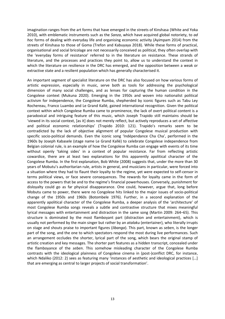imagination ranges from the art forms that have emerged in the streets of Kinshasa (White and Yoka 2010), with emblematic instruments such as the *Sanza*, which have acquired global notoriety, to *ad hoc* forms of dealing with everyday life and organising economic activity (Ayimpam 2014) from the streets of Kinshasa to those of Goma (Trefon and Kabuyaya 2018). While these forms of practical, organisational and social bricolage are not necessarily conceived as political, they often overlap with the 'everyday forms of resistance' referred to in the literature on resistance. These strands of literature, and the processes and practices they point to, allow us to understand the context in which the literature on resilience in the DRC has emerged, and the opposition between a weak or extractive state and a resilient population which has generally characterised it.

An important segment of specialist literature on the DRC has also focused on how various forms of artistic expression, especially in music, serve both as tools for addressing the psychological dimension of many social challenges, and as lenses for capturing the human condition in the Congolese context (Mukuna 2020). Emerging in the 1950s and woven into nationalist political activism for independence, the Congolese Rumba, shepherded by iconic figures such as Tabu Ley Rochereau, Franco Luambo and Le Grand Kallé, gained international recognition. Given the political context within which Congolese Rumba came to prominence, the lack of overt political content is a paradoxical and intriguing feature of this music, which Joseph Trapido still maintains should be 'viewed in its social context, [as it] does not merely reflect, but actively reproduces a set of affective and political economic relationships' (Trapido 2010: 121). Trapido's remarks seem to be contradicted by the lack of objective alignment of popular Congolese musical production with specific socio-political demands. Even the iconic song 'Indépendance Cha Cha', performed in the 1960s by Joseph Kabasele (stage name Le Grand Kallé) to celebrate Congolese independence from Belgian colonial rule, is an example of how the Congolese Rumba can engage with events of its time without openly 'taking sides' in a context of popular resistance. Far from reflecting artistic cowardice, there are at least two explanations for this apparently apolitical character of the Congolese Rumba. In the first explanation, Bob White (2008) suggests that, under the more than 30 years of Mobutu's authoritarian rule, artists in general, and musicians in particular, were forced into a situation where they had to flaunt their loyalty to the regime, yet were expected to self-censor in terms political views, or face severe consequences. The rewards for loyalty came in the form of access to the powers that be and to the regime's financial powerhouses. Conversely, punishment for disloyalty could go as far physical disappearance. One could, however, argue that, long before Mobutu came to power, there were no Congolese hits linked to the major issues of socio-political change of the 1950s and 1960s (Botombele 1976). Further, in a second explanation of the apparently apolitical character of the Congolese Rumba, a deeper analysis of the 'architecture' of most Congolese Rumba songs reveals a subtle and contrastive structure that mixes meaningful lyrical messages with entertainment and distraction in the same song (Martin 2009: 264–65). This structure is dominated by the most flamboyant part (distraction and entertainment), which is usually not performed by the main singer but rather by an *atalaku* (entertainer), who literally irrupts on stage and shouts praise to important figures (*libanga*). This part, known as *seben*, is the longer part of the song, and the one to which spectators respond the most during live performances. Such an arrangement occludes the shorter, lyrical part of the song, which bears the original stamp of artistic creation and key messages. The shorter part features as a hidden transcript, concealed under the flamboyance of the *seben*. This somehow misleading character of the Congolese Rumba contrasts with the ideological plainness of Congolese cinema in (post-)conflict DRC, for instance, which Ndaliko (2012: 2) sees as featuring many 'instances of aesthetic and ideological practices [...] that are emerging as central to larger projects of social transformation'.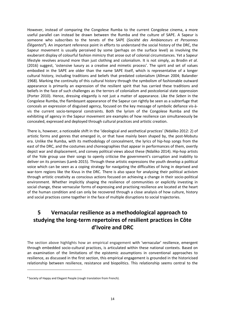However, instead of comparing the Congolese Rumba to the current Congolese cinema, a more useful parallel can instead be drawn between the Rumba and the culture of SAPE. A Sapeur is someone who subscribes to the tenets of the SAPE (*Société des Ambianceurs et Personnes Élégantes*<sup>8</sup> ). An important reference point in efforts to understand the social history of the DRC, the Sapeur movement is usually perceived by some (perhaps on the surface level) as involving the exuberant display of colourful fashion mimicry that arose out of colonial circumstances. Yet a Sapeur lifestyle revolves around more than just clothing and colonialism. It is not simply, as Brodin *et al*. (2016) suggest, 'ostensive luxury as a creative and mimetic process'. The spirit and set of values embodied in the SAPE are older than the name SAPE itself, which is representative of a longer cultural history, including traditions and beliefs that predated colonialism (Allman 2004; Balandier 1968). Marking the continuity of this cultural history through the symbolism of fashionable outward appearance is primarily an expression of the resilient spirit that has carried these traditions and beliefs in the face of such challenges as the terrors of colonialism and postcolonial state oppression (Porter 2010). Hence, dressing elegantly is not just a matter of appearance. Like the *Seben* in the Congolese Rumba, the flamboyant appearance of the Sapeur can rightly be seen as a subterfuge that conceals an expression of disguised agency, focused on the key message of symbolic defiance vis-àvis the current socio-temporal constraints. Both the lyrism of the Congolese Rumba and the exhibiting of agency in the Sapeur movement are examples of how resilience can simultaneously be concealed, expressed and deployed through cultural practices and artistic creation.

There is, however, a noticeable shift in the 'ideological and aesthetical practices' (Ndaliko 2012: 2) of artistic forms and genres that emerged in, or that have mainly been shaped by, the post-Mobutu era. Unlike the Rumba, with its methodology of concealment, the lyrics of hip-hop songs from the east of the DRC, and the costumes and choreographies that appear in performances of them, overtly depict war and displacement, and convey political views about these (Ndaliko 2014). Hip-hop artists of the Yole group use their songs to openly criticise the government's corruption and inability to deliver on its promises (Lamb 2015). Through these artistic expressions the youth develop a political voice which can be seen as a coping strategy for navigating the difficulties of living in deprived and war-torn regions like the Kivus in the DRC. There is also space for analysing their political activism through artistic creativity as conscious actions focused on achieving a change in their socio-political environment. Whether implicitly shaping the resilience of communities or explicitly investing in social change, these vernacular forms of expressing and practising resilience are located at the heart of the human condition and can only be recovered through a close analysis of how culture, history and social practices come together in the face of multiple disruptions to social trajectories.

## <span id="page-21-0"></span>**5 Vernacular resilience as a methodological approach to studying the long-term repertoires of resilient practices in Côte d'Ivoire and DRC**

The section above highlights how an empirical engagement with 'vernacular' resilience, emergent through embedded socio-cultural practices, is articulated within these national contexts. Based on an examination of the limitations of the epistemic assumptions in conventional approaches to resilience, as discussed in the first section, this empirical engagement is grounded in the historicised relationship between resilience, resistance and biopolitics. This relationship seems central to the

<sup>8</sup> Society of Happy and Elegant People (rough translation from French).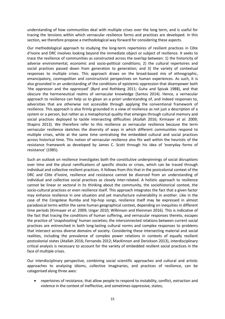understanding of how communities deal with multiple crises over the long term, and is useful for tracing the tensions within which vernacular resilience forms and practices are developed. In this section, we therefore propose a methodological way forward for considering these aspects.

Our methodological approach to studying the long-term repertoires of resilient practices in Côte d'Ivoire and DRC involves looking beyond the immediate object or subject of resilience. It seeks to trace the resilience of communities as constructed across the overlap between: 1) the historicity of adverse environmental, economic and socio-political conditions; 2) the cultural repertoires and social practices passed down from generation to generation; and 3) the variety of contextual responses to multiple crises. This approach draws on the broad-based mix of ethnographic, emancipatory, cosmopolitan and constructivist perspectives on human experiences. As such, it is also grounded in an understanding of the conditions of epistemic oppression that disempower both 'the oppressor and the oppressed' (Byrd and Rothberg 2011; Guha and Spivak 1988), and that obscure the hermeneutical realms of vernacular knowledge (Santos 2014). Hence, a vernacular approach to resilience can help us to glean an *a priori* understanding of, and indeed responses to, adversities that are otherwise not accessible through applying the conventional framework of resilience. This approach is also firmly grounded in a view of resilience as not just a description of a system or a person, but rather as a metaphorical quality that emerges through cultural memory and social practices deployed to tackle intersecting difficulties (Atallah 2016; Kirmayer *et al*. 2009; Shapiro 2013). We therefore refer to this resilience as vernacular resilience because the term vernacular resilience sketches the diversity of ways in which different communities respond to multiple crises, while at the same time centralising the embedded cultural and social practices across historical time. This notion of vernacular resilience also fits well within the heuristic of the resistance framework as developed by James C. Scott through his idea of 'everyday forms of resistance' (1985).

Such an outlook on resilience investigates both the constitutive underpinnings of social disruptions over time and the plural ramifications of specific shocks or crises, which can be traced through individual and collective resilient practices. It follows from this that in the postcolonial context of the DRC and Côte d'Ivoire, resilience and resistance cannot be divorced from an understanding of individual and collective social practices as closely inter-related. A holistic approach to resilience cannot be linear or sectoral in its thinking about the community, the sociohistorical context, the socio-cultural practices or even resilience itself. This approach integrates the fact that a given factor may enhance resilience in one situation and yet manufacture vulnerability in another. Like in the case of the Congolese Rumba and hip-hop songs, resilience itself may be expressed in almost paradoxical terms within the same human geographical context, depending on inequities in different time periods (Kirmayer *et al*. 2009; Ungar 2010; Wilkinson and Kleinman 2016). This is indicative of the fact that tracing the conditions of human suffering, and vernacular responses thereto, escapes the practice of 'snapshooting' human societies; the interconnected relations between current social practices are entrenched in both long-lasting cultural norms and complex responses to problems that intersect across diverse domains of society. Considering these intersecting material and social realities, including the prevalence of complex power relations in contexts of equally resilient postcolonial states (Atallah 2016; Fernando 2012; MacKinnon and Derickson 2013), interdisciplinary critical analysis is necessary to account for the variety of embedded resilient social practices in the face of multiple crises.

Our interdisciplinary perspective, combining social scientific approaches and cultural and artistic approaches to analysing idioms, collective imaginaries, and practices of resilience, can be categorised along three axes:

• repertoires of resistance, that allow people to respond to instability, conflict, extraction and violence in the context of ineffective, and sometimes oppressive, states;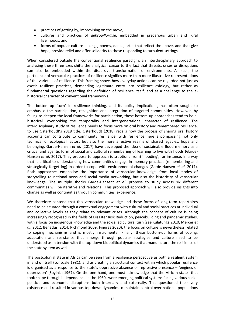- practices of getting by, improvising on the move;
- cultures and practices of *débrouillardise*, embedded in precarious urban and rural livelihoods; and
- forms of popular culture songs, poems, dance, art that reflect the above, and that give hope, provide relief and offer solidarity to those responding to turbulent settings.

When considered outside the conventional resilience paradigm, an interdisciplinary approach to analysing these three axes shifts the analytical cursor to the fact that threats, crises or disruptions can also be embedded within the discursive transformation of environments. As such, the pertinence of vernacular practices of resilience signifies more than mere illustrative representations of the varieties of resilience. This framing shows how everyday actions can be regarded not just as exotic resilient practices, demanding legitimate entry into resilience axiology, but rather as fundamental questions regarding the definition of resilience itself, and as a challenge to the ahistorical character of conventional frameworks.

The bottom-up 'turn' in resilience thinking, and its policy implications, has often sought to emphasise the participation, recognition and integration of targeted communities. However, by failing to deepen the local frameworks for participation, these bottom-up approaches tend to be ahistorical, overlooking the temporality and intergenerational character of resilience. The interdisciplinary study of resilience needs to focus more on oral history and remembered resilience, to use Osterhoudt's 2018 title. Osterhoudt (2018) recalls how the process of sharing oral history accounts can contribute to community resilience, with resilience here encompassing not only technical or ecological factors but also the more affective realms of shared legacies, hope and belonging. Garde-Hansen *et al*. (2017) have developed the idea of sustainable flood memory as a critical and agentic form of social and cultural remembering of learning to live with floods (Garde-Hansen *et al*. 2017). They propose to approach (disruptions from) 'flooding', for instance, in a way that is critical to understanding how communities engage in memory practices (remembering and strategically forgetting) in order to cope with environmental changes (Garde-Hansen *et al*. 2017). Both approaches emphasise the importance of vernacular knowledge, from local modes of storytelling to national news and social media networking, but also the historicity of vernacular knowledge. The multiple shocks Garde-Hansent *et al*. propose to study across six different communities will be iterative and relational. This proposed approach will also provide insights into change as well as continuities through communities' experience.

We therefore contend that this vernacular knowledge and these forms of long-term repertoires need to be situated through a contextual engagement with cultural and social practices at individual and collective levels as they relate to relevant crises. Although the concept of culture is being increasingly recognised in the fields of Disaster Risk Reduction, peacebuilding and pandemic studies, with a focus on indigenous knowledge and the so-called cultural turn (see Kulatunga 2010; Mercer *et al*. 2012; Benadusi 2014; Richmond 2009; Finuras 2020), the focus on culture is nevertheless related to coping mechanisms and is mostly instrumental. Finally, these bottom-up forms of coping, adaptation and resistance that emerge through popular strategies and culture need to be understood as in tension with the top-down biopolitical dynamics that manufacture the resilience of the state system as well.

The postcolonial state in Africa can be seen from a resilience perspective as both a resilient system in and of itself (Lonsdale 1981), and as creating a structural context within which popular resilience is organised as a response to the state's oppressive absence or repressive presence – 'engines of oppression' (Soyinka 1967). On the one hand, one must acknowledge that the African states that took shape through independence in the 1960s were emerging political systems facing various sociopolitical and economic disruptions both internally and externally. This questioned their very existence and resulted in various top-down dynamics to maintain control over national populations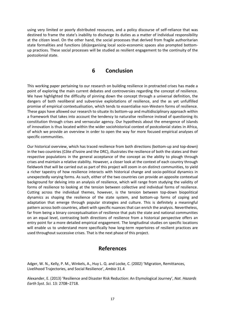using very limited or poorly distributed resources, and a policy discourse of self-reliance that was destined to frame the state's inability to discharge its duties as a matter of individual responsibility at the citizen level. On the other hand, the social processes that derived from fragile authoritarian state formalities and functions (dis)organising local socio-economic spaces also prompted bottomup practices. These social processes will be studied as resilient engagement to the continuity of the postcolonial state.

#### **6 Conclusion**

<span id="page-24-0"></span>This working paper pertaining to our research on building resilience in protracted crises has made a point of exploring the main current debates and controversies regarding the concept of resilience. We have highlighted the difficulty of pinning down the concept through a universal definition, the dangers of both neoliberal and subversive exploitations of resilience, and the as yet unfulfilled promise of empirical contextualisation, which tends to essentialise non-Western forms of resilience. These gaps have allowed our research to situate its bottom-up and multidisciplinary approach within a framework that takes into account the tendency to naturalise resilience instead of questioning its constitution through crises and vernacular agency. Our hypothesis about the emergence of islands of innovation is thus located within the wider sociohistorical context of postcolonial states in Africa, of which we provide an overview in order to open the way for more focused empirical analyses of specific communities.

Our historical overview, which has traced resilience from both directions (bottom-up and top-down) in the two countries (Côte d'Ivoire and the DRC), illustrates the resilience of both the states and their respective populations in the general acceptance of the concept as the ability to plough through crises and maintain a relative stability. However, a closer look at the context of each country through fieldwork that will be carried out as part of this project will zoom in on distinct communities, to yield a richer tapestry of how resilience interacts with historical change and socio-political dynamics in unexpectedly varying forms. As such, either of the two countries can provide an apposite contextual background for delving into an analysis of resilience, which will range from studying the validity of forms of resilience to looking at the tension between collective and individual forms of resilience. Cutting across the individual themes, however, is the tension between top-down biopolitical dynamics as shaping the resilience of the state system, and bottom-up forms of coping and adaptation that emerge through popular strategies and culture. This is definitely a meaningful pattern across both countries, albeit with specific nuances that can enrich the analysis. Nevertheless, far from being a binary conceptualisation of resilience that puts the state and national communities on an equal level, contrasting both directions of resilience from a historical perspective offers an entry point for a more detailed empirical engagement. The longitudinal studies on specific locations will enable us to understand more specifically how long-term repertoires of resilient practices are used throughout successive crises. That is the next phase of this project.

## **References**

<span id="page-24-1"></span>Adger, W. N., Kelly, P. M., Winkels, A., Huy L. Q. and Locke, C. (2002) 'Migration, Remittances, Livelihood Trajectories, and Social Resilience', *Ambio* 31.4

Alexander, E. (2013) 'Resilience and Disaster Risk Reduction: An Etymological Journey', *Nat. Hazards Earth Syst. Sci.* 13*:* 2708–2718.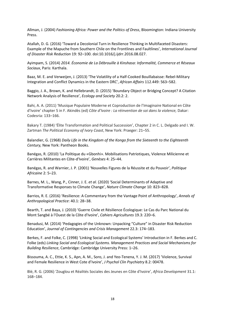Allman, J. (2004) *Fashioning Africa: Power and the Politics of Dress*, Bloomington: Indiana University Press.

Atallah, D. G. (2016) 'Toward a Decolonial Turn in Resilience Thinking in Multifaceted Disasters: Example of the Mapuche from Southern Chile on the Frontlines and Faultlines', *International Journal of Disaster Risk Reduction* 19: 92–100. doi[:10.1016/j.ijdrr.2016.08.027.](https://doi.org/10.1016/j.ijdrr.2016.08.027)

Ayimpam, S. (2014) *2014. Économie de La Débrouille à Kinshasa: Informalité, Commerce et Réseaux Sociaux*, Paris: Karthala.

Baaz, M. E. and Verweijen, J. (2013) 'The Volatility of a Half-Cooked Bouillabaisse: Rebel-Military Integration and Conflict Dynamics in the Eastern DRC', *African Affairs* 112.449: 563–582.

Baggio, J. A., Brown, K. and Hellebrandt, D. (2015) 'Boundary Object or Bridging Concept? A Citation Network Analysis of Resilience', *Ecology and Society* 20.2: 2.

Bahi, A. A. (2011) 'Musique Populaire Moderne et Coproduction de l'Imaginaire National en Côte d'Ivoire' chapter 5 in F. Akindès (ed) *Côte d'Ivoire : La réinvention de soi dans la violence,* Dakar: Codesria: 133–166.

Bakary T. (1984) 'Élite Transformation and Political Succession', Chapter 2 in C. L. Delgado and I. W. Zartman *The Political Economy of Ivory Coast*, New York: Praeger: 21–55.

Balandier, G. (1968) *Daily Life in the Kingdom of the Kongo from the Sixteenth to the Eighteenth Century,* New York: Pantheon Books.

Banégas, R. (2010) 'La Politique du «Gbonhi». Mobilisations Patriotiques, Violence Milicienne et Carrières Militantes en Côte-d'Ivoire', *Genèses* 4: 25–44.

Banégas, R. and Warnier, J. P. (2001) 'Nouvelles Figures de la Réussite et du Pouvoir', *Politique Africaine* 2: 5–23.

Barnes, M. L., Wang, P., Cinner, J. E. *et al.* (2020) 'Social Determinants of Adaptive and Transformative Responses to Climate Change', *Nature Climate Change* 10: 823–828.

Barrios, R. E. (2016) 'Resilience: A Commentary from the Vantage Point of Anthropology', *Annals of Anthropological Practice*: 40.1: 28–38.

Bearth, T. and Baya, J. (2010) 'Guerre Civile et Résilience Écologique: Le Cas du Parc National du Mont Sangbé à l'Ouest de la Côte d'Ivoire', *Cahiers Agricultures* 19.3: 220–6.

Benadusi, M. (2014) 'Pedagogies of the Unknown: Unpacking "Culture" in Disaster Risk Reduction Education', *Journal of Contingencies and Crisis Management* 22.3: 174–183.

Berkes, F. and Folke, C. (1998) 'Linking Social and Ecological Systems' Introduction in F. Berkes and C. Folke (eds) *Linking Social and Ecological Systems. Management Practices and Social Mechanisms for Building Resilience*, Cambridge: Cambridge University Press: 1–26.

Bissouma, A. C., Ettie, K. S., Apn, A. M., Soro, J. and Yeo-Tenena, Y. J. M. (2017) 'Violence, Survival and Female Resilience in West Cote d'Ivoire', *J Psychol Clin Psychiatry* 8.2: 00478.

Blé, R. G. (2006) 'Zouglou et Réalités Sociales des Jeunes en Côte d'Ivoire', *Africa Development* 31.1: 168–184.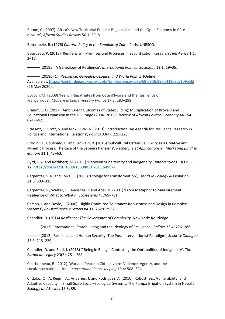Boone, C. (2007) 'Africa's New Territorial Politics: Regionalism and the Open Economy in Côte d'Ivoire', *African Studies Review* 50.1: 59–81.

Botombele, B. (1976) *Cultural Policy in the Republic of Zaire*, Paris: UNESCO.

Bourbeau, P. (2013) 'Resiliencism: Premises and Promises in Securitisation Research', *Resilience* 1.1: 3–17.

–––––– (2018a) 'A Genealogy of Resilience', *International Political Sociology* 12.1: 19–35.

–––––– (2018b) *On Resilience: Genealogy, Logics, and World Politics* [Online] Available at[: https://cambridge.org/core/books/on-resilience/ee8ef58f88f3d2970ff1268c8109a56f](https://cambridge.org/core/books/on-resilience/ee8ef58f88f3d2970ff1268c8109a56f) (26 May 2020).

Bovcon, M. (2009) 'French Repatriates from Côte d'Ivoire and the Resilience of Françafrique', *Modern & Contemporary France* 17.3: 283–299.

Brandt, C. O. (2017) 'Ambivalent Outcomes of Statebuilding: Multiplication of Brokers and Educational Expansion in the DR Congo (2004–2013)', *Review of African Political Economy* 44.154: 624–642.

Brassett, J., Croft, S. and Nick, V.-W. N. (2013) 'Introduction: An Agenda for Resilience Research in Politics and International Relations', *Politics* 33(4): 221–228.

Brodin, O., Coulibaly, D. and Ladwein, R. (2016) 'Subcultural Ostensive Luxury as a Creative and Mimetic Process: The case of the Sapeurs Parisiens', *Recherche et Applications en Marketing (English edition)* 31.1: 43–63.

Byrd, J. A. and Rothberg, M. (2011) 'Between Subalternity and indigeneity', *Interventions* 13(1): 1– 12[. https://doi.org/10.1080/1369801X.2011.545574.](https://doi.org/10.1080/1369801X.2011.545574)

Carpenter, S. R. and Folke, C. (2006) 'Ecology for Transformation', *Trends in Ecology & Evolution*  21.6: 309–315.

Carpenter, S., Walker, B., Anderies, J. and Abel, N. (2001) 'From Metaphor to Measurement: Resilience of What to What?', *Ecosystems* 4: 765–781.

Carson, J. and Doyle, J. (2000) 'Highly Optimized Tolerance: Robustness and Design in Complex Systems', *Physical Review Letters* 84.11: 2529–2532.

Chandler, D. (2014) *Resilience: The Governance of Complexity*, New York: Routledge.

–––––– (2013) 'International Statebuilding and the Ideology of Resilience', *Politics* 33.4: 276–286.

–––––– (2012) 'Resilience and Human Security: The Post-interventionist Paradigm', *Security Dialogue*  43.3: 213–229.

Chandler, D. and Reid, J. (2018) '"Being in Being": Contesting the Ontopolitics of Indigeneity', *The European Legacy* 23(3): 251–268.

Charbonneau, B. (2012) 'War and Peace in Côte d'Ivoire: Violence, Agency, and the Local/International Line', *International Peacekeeping* 19.4: 508–524.

Cifdaloz, O., A. Regmi, A., Anderies, J. and Rodriguez, A. (2010) 'Robustness, Vulnerability, and Adaptive Capacity in Small-Scale Social–Ecological Systems: The Pumpa Irrigation System in Nepal', *Ecology and Society* 15.3: 39.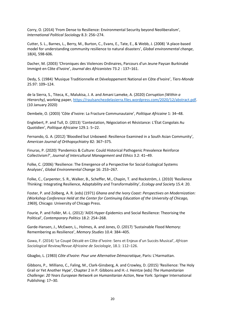Corry, O. (2014) 'From Dense to Resilience: Environmental Security beyond Neoliberalism', *International Political Sociology* 8.3: 256–274.

Cutter, S. L., Barnes, L., Berry, M., Burton, C., Evans, E., Tate, E., & Webb, J. (2008) 'A place-based model for understanding community resilience to natural disasters', *Global environmental change*, 18(4), 598-606.

Dacher, M. (2003) 'Chroniques des Violences Ordinaires, Parcours d'un Jeune Paysan Burkinabé Immigré en Côte d'Ivoire', *Journal des Africanistes* 73.2 : 137–161.

Dedy, S. (1984) 'Musique Traditionnelle et Développement National en Côte d'Ivoire', *Tiers-Monde* 25.97: 109–124.

de la Sierra, S., Titeca, K., Malukisa, J. A. and Amani Lameke, A. (2020) *Corruption (Within a Hierarchy)*, working paper[, https://raulsanchezdelasierra.files.wordpress.com/2020/12/abstract.pdf.](https://raulsanchezdelasierra.files.wordpress.com/2020/12/abstract.pdf) (10 January 2020)

Dembele, O. (2003) 'Côte d'Ivoire: La Fracture Communautaire', *Politique Africaine* 1: 34–48.

Englebert, P. and Tull, D. (2013) 'Contestation, Négociation et Résistance: L'État Congolais Au Quotidien', *Politique Africaine* 129.1: 5–22.

Fernando, G. A. (2012) 'Bloodied but Unbowed: Resilience Examined in a South Asian Community', *American Journal of Orthopsychiatry* 82: 367–375*.*

Finuras, P. (2020) 'Pandemics & Culture: Could Historical Pathogenic Prevalence Reinforce Collectivism?', *Journal of Intercultural Management and Ethics* 3.2: 41–49.

Folke, C. (2006) 'Resilience: The Emergence of a Perspective for Social-Ecological Systems Analyses', *Global Environmental Change* 16: 253–267.

Folke, C., Carpenter, S. R., Walker, B., Scheffer, M., Chapin, T. and Rockström, J. (2010) 'Resilience Thinking: Integrating Resilience, Adaptability and Transformability', *Ecology and Society* 15.4: 20.

Foster, P. and Zolberg, A. R. (eds) (1971) *Ghana and the Ivory Coast: Perspectives on Modernization: (Workshop Conference Held at the Center for Continuing Education of the University of Chicago, 1969),* Chicago: University of Chicago Press.

Fourie, P. and Follér, M.-L. (2012) 'AIDS Hyper-Epidemics and Social Resilience: Theorising the Political', *Contemporary Politics* 18.2: 254–268.

Garde-Hansen, J., McEwen, L., Holmes, A. and Jones, O. (2017) 'Sustainable Flood Memory: Remembering as Resilience', *Memory Studies* 10.4: 384–405.

Gawa, F. (2014) 'Le Coupé Décalé en Côte d'Ivoire: Sens et Enjeux d'un Succès Musical', *African Sociological Review/Revue Africaine de Sociologie*, 18.1: 112–126.

Gbagbo, L. (1983) *Côte d'Ivoire: Pour une Alternative Démocratique*, Paris: L'Harmattan.

Gibbons, P., Milliano, C., Faling, M., Clark-Ginsberg, A. and Crowley, D. (2015) 'Resilience: The Holy Grail or Yet Another Hype', Chapter 2 in P. Gibbons and H.-J. Heintze (eds) *The Humanitarian Challenge: 20 Years European Network on Humanitarian Action*, New York: Springer International Publishing: 17–30.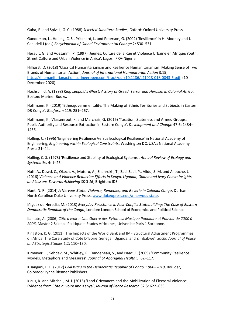Guha, R. and Spivak, G. C. (1988) *Selected Subaltern Studies*, Oxford: Oxford University Press.

Gunderson, L., Holling, C. S., Pritchard, L. and Peterson, G. (2002) 'Resilience' in H. Mooney and J. Canadell J (eds) *Encyclopedia of Global Environmental Change* 2: 530–531.

Hérault, G. and Adesanmi, P. (1997) 'Jeunes, Culture de la Rue et Violence Urbaine en Afrique/Youth, Street Culture and Urban Violence in Africa', Lagos: IFRA-Nigeria.

Hilhorst, D. (2018) 'Classical Humanitarianism and Resilience Humanitarianism: Making Sense of Two Brands of Humanitarian Action', *Journal of International Humanitarian Action* 3.15, [https://jhumanitarianaction.springeropen.com/track/pdf/10.1186/s41018-018-0043-6.pdf.](https://jhumanitarianaction.springeropen.com/track/pdf/10.1186/s41018-018-0043-6.pdf) (10 December 2020)

Hochschild, A. (1998) *King Leopold's Ghost: A Story of Greed, Terror and Heroism in Colonial Africa*, Boston: Mariner Books.

Hoffmann, K. (2019) 'Ethnogovernmentality: The Making of Ethnic Territories and Subjects in Eastern DR Congo', *Geoforum* 119: 251–267.

Hoffmann, K., Vlassenroot, K. and Marchais, G. (2016) 'Taxation, Stateness and Armed Groups: Public Authority and Resource Extraction in Eastern Congo', *Development and Change* 47.6: 1434– 1456.

Holling, C. (1996) 'Engineering Resilience Versus Ecological Resilience' in National Academy of Engineering, *Engineering within Ecological Constraints*, Washington DC, USA.: National Academy Press: 31–44.

Holling, C. S. (1973) 'Resilience and Stability of Ecological Systems', *Annual Review of Ecology and Systematics* 4: 1–23.

Huff, A., Dowd, C., Okech, A., Muteru, A., Shahrokh, T., Zadi Zadi, P., Alidu, S. M. and Allouche, J. (2016) *Violence and Violence Reduction Efforts in Kenya, Uganda, Ghana and Ivory Coast: Insights and Lessons Towards Achieving SDG 16*, Brighton: IDS.

Hunt, N. R. (2014) *A Nervous State: Violence, Remedies, and Reverie in Colonial Congo*, Durham, North Carolina: Duke University Press, [www.dukeupress.edu/a-nervous-state.](http://www.dukeupress.edu/a-nervous-state)

Iñiguez de Heredia, M. (2013) *Everyday Resistance in Post-Conflict Statebuilding: The Case of Eastern Democratic Republic of the Congo*, London: London School of Economics and Political Science.

Kamate, A. (2006) *Côte d'Ivoire: Une Guerre des Rythmes: Musique Populaire et Pouvoir de 2000 à 2006*, Master 2 Science Politique – Etudes Africaines, Universite Paris 1 Sorbonne.

Kingston, K. G. (2011) 'The Impacts of the World Bank and IMF Structural Adjustment Programmes on Africa: The Case Study of Cote D'Ivoire, Senegal, Uganda, and Zimbabwe', *Sacha Journal of Policy and Strategic Studies* 1.2: 110–130.

Kirmayer, L., Sehdev, M., Whitley, R., Dandeneau, S., and Isaac, C. (2009) 'Community Resilience: Models, Metaphors and Measures', *Journal of Aboriginal Health* 5: 62–117.

Kisangani, E. F. (2012) *Civil Wars in the Democratic Republic of Congo, 1960–2010*, Boulder, Colorado: Lynne Rienner Publishers.

Klaus, K. and Mitchell, M. I. (2015) 'Land Grievances and the Mobilization of Electoral Violence: Evidence from Côte d'Ivoire and Kenya', *Journal of Peace Research* 52.5: 622–635.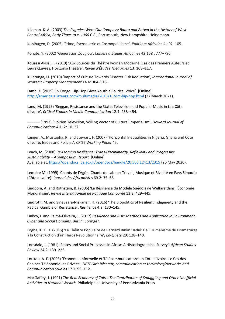Klieman, K. A. (2003) *The Pygmies Were Our Compass: Bantu and Batwa in the History of West Central Africa, Early Times to c. 1900 C.E.*, Portsmouth, New Hampshire: Heinemann.

Kohlhagen, D. (2005) 'Frime, Escroquerie et Cosmopolitisme', *Politique Africaine* 4 : 92–105.

Konaté, Y. (2002) 'Génération Zouglou', *Cahiers d'Études Africaines* 42.168 : 777–796.

Kouassi Akissi, F. (2019) 'Aux Sources du Théâtre Ivoirien Moderne: Cas des Premiers Auteurs et Leurs Œuvres, Horizons/Théâtre', *Revue d'Études Théâtrales* 13: 108–117.

Kulatunga, U. (2010) 'Impact of Culture Towards Disaster Risk Reduction', *International Journal of Strategic Property Management* 14.4: 304–313.

Lamb, K. (2015) 'In Congo, Hip-Hop Gives Youth a Political Voice'*.* [Online] <http://america.aljazeera.com/multimedia/2015/10/drc-hip-hop.html> (27 March 2021).

Land, M. (1995) 'Reggae, Resistance and the State: Television and Popular Music in the Côte d'Ivoire', *Critical Studies in Media Communication* 12.4: 438–454.

–––––– (1992) 'Ivoirien Television, Willing Vector of Cultural Imperialism', *Howard Journal of Communications* 4.1–2: 10–27.

Langer, A., Mustapha, R. and Stewart, F. (2007) 'Horizontal Inequalities in Nigeria, Ghana and Côte d'Ivoire: Issues and Policies', *CRISE Working Paper* 45.

Leach, M. (2008) *Re-Framing Resilience: Trans-Disciplinarity, Reflexivity and Progressive Sustainability – A Symposium Report.* [Online] Available at[: https://opendocs.ids.ac.uk/opendocs/handle/20.500.12413/2315](https://opendocs.ids.ac.uk/opendocs/handle/20.500.12413/2315) (26 May 2020).

Lemaire M. (1999) 'Chants de l'Agôn, Chants du Labeur: Travail, Musique et Rivalité en Pays Sénoufo (Côte d'Ivoire)' *Journal des Africanistes* 69.2: 35–66.

Lindbom, A. and Rothstein, B. (2006) 'La Résilience du Modèle Suédois de Welfare dans l'Économie Mondialisée', *Revue Internationale de Politique Comparée* 13.3: 429–445.

Lindroth, M. and Sinevaara-Niskanen, H. (2016) 'The Biopolitics of Resilient Indigeneity and the Radical Gamble of Resistance', *Resilience* 4.2: 130–145.

Linkov, I. and Palma-Oliveira, J. (2017) *Resilience and Risk: Methods and Application in Environment, Cyber and Social Domains*, Berlin: Springer.

Logba, K. K. D. (2015) 'Le Théâtre Populaire de Bernard Binlin Dadié: De l'Humanisme du Dramaturge à la Construction d'un Heros Revolutionnaire', *En-Quête* 29: 128–140.

Lonsdale, J. (1981) 'States and Social Processes in Africa: A Historiographical Survey', *African Studies Review* 24.2: 139–225.

Loukou, A. F. (2003) 'Économie Informelle et Télécommunications en Côte d'Ivoire: Le Cas des Cabines Téléphoniques Privées', *NETCOM: Réseaux, communication et territoires/Networks and Communication Studies* 17.1: 99–112.

MacGaffey, J. (1991) *The Real Economy of Zaire: The Contribution of Smuggling and Other Unofficial Activities to National Wealth*, Philadelphia: University of Pennsylvania Press.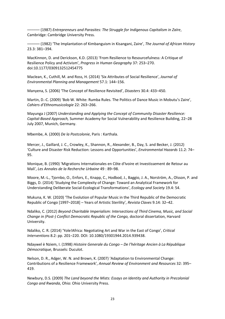–––––– (1987) *Entrepreneurs and Parasites: The Struggle for Indigenous Capitalism in Zaïre*, Cambridge: Cambridge University Press.

–––––– (1982) 'The Implantation of Kimbanguism in Kisangani, Zaire', *The Journal of African History*  23.3: 381–394.

MacKinnon, D. and Derickson, K.D. (2013) 'From Resilience to Resourcefulness: A Critique of Resilience Policy and Activism', *Progress in Human Geography* 37: 253–270. doi[:10.1177/0309132512454775](https://doi.org/10.1177/0309132512454775)

Maclean, K., Cuthill, M. and Ross, H. (2014) 'Six Attributes of Social Resilience', *Journal of Environmental Planning and Management* 57.1: 144–156.

Manyena, S. (2006) 'The Concept of Resilience Revisited', *Disasters* 30.4: 433–450.

Martin, D.-C. (2009) 'Bob W. White: Rumba Rules. The Politics of Dance Music in Mobutu's Zaire', *Cahiers d'Ethnomusicologie* 22: 263–266.

Mayunga J (2007) *Understanding and Applying the Concept of Community Disaster Resilience: Capital-Based Approach,* Summer Academy for Social Vulnerability and Resilience Building, 22–28 July 2007, Munich, Germany.

Mbembe, A. (2000) *De la Postcolonie*, Paris : Karthala.

Mercer, J., Gaillard, J. C., Crowley, K., Shannon, R., Alexander, B., Day, S. and Becker, J. (2012) 'Culture and Disaster Risk Reduction: Lessons and Opportunities', *Environmental Hazards* 11.2: 74– 95.

Monique, B. (1990) 'Migrations Internationales en Côte d'Ivoire et Investissement de Retour au Mali', *Les Annales de la Recherche Urbaine* 49 : 89–98.

Moore, M.-L., Tjornbo, O., Enfors, E., Knapp, C., Hodbod, J., Baggio, J. A., Norström, A., Olsson, P. and Biggs, D. (2014) 'Studying the Complexity of Change: Toward an Analytical Framework for Understanding Deliberate Social-Ecological Transformations', *Ecology and Society* 19.4: 54.

Mukuna, K. W. (2020) 'The Evolution of Popular Music in the Third Republic of the Democratic Republic of Congo [1997–2018] – Years of Artistic Sterility', *Revista Claves* 9.14: 32–42.

Ndaliko, C. (2012) *Beyond Charitable Imperialism: Intersections of Third Cinema, Music, and Social Change in (Post-) Conflict Democratic Republic of the Congo,* doctoral dissertation, Harvard University.

Ndaliko, C. R. (2014) 'Yole!Africa: Negotiating Art and War in the East of Congo', *Critical Interventions* 8.2: pp. 201–220. DOI: 10.1080/19301944.2014.939438.

Ndaywel è Nziem, I. (1998) *Histoire Generale du Congo – De l'héritage Ancien à La République Démocratique*, Brussels: Duculot.

Nelson, D. R., Adger, W. N. and Brown, K. (2007) 'Adaptation to Environmental Change: Contributions of a Resilience Framework', *Annual Review of Environment and Resources* 32: 395– 419.

Newbury, D.S. (2009) *The Land beyond the Mists: Essays on Identity and Authority in Precolonial Congo and Rwanda*, Ohio: Ohio University Press.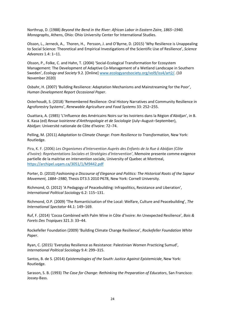Northrup, D. (1988) *Beyond the Bend in the River: African Labor in Eastern Zaire, 1865–1940. Monographs*, Athens, Ohio: Ohio University Center for International Studies.

Olsson, L., Jerneck, A., Thoren, H., Persson, J. and O'Byrne, D. (2015) 'Why Resilience is Unappealing to Social Science: Theoretical and Empirical Investigations of the Scientific Use of Resilience', *Science Advances* 1.4: 1–11.

Olsson, P., Folke, C. and Hahn, T. (2004) 'Social-Ecological Transformation for Ecosystem Management: The Development of Adaptive Co-Management of a Wetland Landscape in Southern Sweden', *Ecology and Society* 9.2. [Online] [www.ecologyandsociety.org/vol9/iss4/art2/.](http://www.ecologyandsociety.org/vol9/iss4/art2/) (10 November 2020)

Osbahr, H. (2007) 'Building Resilience: Adaptation Mechanisms and Mainstreaming for the Poor', *Human Development Report Occasional Paper*.

Osterhoudt, S. (2018) 'Remembered Resilience: Oral History Narratives and Community Resilience in Agroforestry Systems', *Renewable Agriculture and Food Systems* 33: 252–255.

Ouattara, A. (1985) 'L'Influence des Américains Noirs sur les Ivoiriens dans la Région d'Abidjan', in B. K. Kasa (ed) *Revue Ivoirienne d'Anthropologie et de Sociologie* (July–August–September), Abidjan: Université nationale de Côte d'Ivoire: 72–74.

Pelling, M. (2011) *Adaptation to Climate Change: From Resilience to Transformation*, New York: Routledge.

Pira, K. F. (2006) *Les Organismes d'Intervention Auprès des Enfants de la Rue à Abidjan (Côte d'Ivoire): Représentations Sociales et Stratégies d'Intervention'*, Memoire presente comme exigence partielle de la maitrise en intervention sociale, University of Quebec at Montreal, <https://archipel.uqam.ca/3051/1/M9442.pdf>

Porter, D. (2010) *Fashioning a Discourse of Elegance and Politics: The Historical Roots of the Sapeur Movement, 1884–1980*, Thesis DT3.5 2010 P678, New York: Cornell University.

Richmond, O. (2012) 'A Pedagogy of Peacebuilding: Infrapolitics, Resistance and Liberation', *International Political Sociology* 6.2: 115–131.

Richmond, O.P. (2009) 'The Romanticisation of the Local: Welfare, Culture and Peacebuilding', *The International Spectator* 44.1: 149–169.

Ruf, F. (2014) 'Cocoa Combined with Palm Wine in Côte d'Ivoire: An Unexpected Resilience', *Bois & Forets Des Tropiques* 321.3: 33–44.

Rockefeller Foundation (2009) 'Building Climate Change Resilience', *Rockefeller Foundation White Paper*.

Ryan, C. (2015) 'Everyday Resilience as Resistance: Palestinian Women Practicing Sumud', *International Political Sociology* 9.4: 299–315.

Santos, B. de S. (2014) *Epistemologies of the South: Justice Against Epistemicide*, New York: Routledge.

Sarason, S. B. (1993) *The Case for Change: Rethinking the Preparation of Educators*, San Francisco: Jossey-Bass.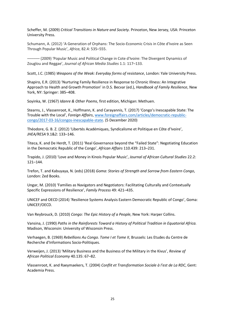Scheffer, M. (2009) *Critical Transitions in Nature and Society.* Princeton, New Jersey, USA: Princeton University Press.

Schumann, A. (2012) 'A Generation of Orphans: The Socio-Economic Crisis in Côte d'Ivoire as Seen Through Popular Music', *Africa*, 82.4: 535–555.

– (2009) 'Popular Music and Political Change in Cote d'Ivoire: The Divergent Dynamics of Zouglou and Reggae', *Journal of African Media Studies* 1.1: 117–133.

Scott, J.C. (1985) *Weapons of the Weak: Everyday forms of resistance*, London: Yale University Press.

Shapiro, E.R. (2013) 'Nurturing Family Resilience in Response to Chronic Illness: An Integrative Approach to Health and Growth Promotion' in D.S. Becvar (ed.), *Handbook of Family Resilience*, New York, NY: Springer: 385–408.

Soyinka, W. (1967) *Idanre & Other Poems*, first edition, Michigan: Methuen.

Stearns, J., Vlassenroot, K., Hoffmann, K. and Carayannis, T. (2017) 'Congo's Inescapable State: The Trouble with the Local', *Foreign Affairs*, [www.foreignaffairs.com/articles/democratic-republic](http://www.foreignaffairs.com/articles/democratic-republic-congo/2017-03-16/congos-inescapable-statet)[congo/2017-03-16/congos-inescapable-state.](http://www.foreignaffairs.com/articles/democratic-republic-congo/2017-03-16/congos-inescapable-statet) (5 December 2020)

Théodore, G. B. Z. (2012) 'Libertés Académiques, Syndicalisme et Politique en Côte d'Ivoire', *JHEA/RESA* 9.1&2: 133–146.

Titeca, K. and De Herdt, T. (2011) 'Real Governance beyond the "Failed State": Negotiating Education in the Democratic Republic of the Congo', *African Affairs* 110.439: 213–231.

Trapido, J. (2010) 'Love and Money in Kinois Popular Music', *Journal of African Cultural Studies* 22.2: 121–144.

Trefon, T. and Kabuyaya, N. (eds) (2018) *Goma: Stories of Strength and Sorrow from Eastern Congo*, London: Zed Books.

Ungar, M. (2010) 'Families as Navigators and Negotiators: Facilitating Culturally and Contextually Specific Expressions of Resilience', *Family Process* 49: 421–435.

UNICEF and OECD (2014) 'Resilience Systems Analysis Eastern Democratic Republic of Congo', Goma: UNICEF/OECD.

Van Reybrouck, D. (2010) *Congo: The Epic History of a People*, New York: Harper Collins.

Vansina, J. (1990) *Paths in the Rainforests Toward a History of Political Tradition in Equatorial Africa.*  Madison, Wisconsin: University of Wisconsin Press.

Verhaegen, B. (1969) *Rebellions Au Congo. Tome I et Tome II*, Brussels: Les Etudes du Centre de Recherche d'Informations Socio-Politiques.

Verweijen, J. (2013) 'Military Business and the Business of the Military in the Kivus', *Review of African Political Economy* 40.135: 67–82.

Vlassenroot, K. and Raeymaekers, T. (2004) *Conflit et Transformation Sociale à l'est de La RDC*, Gent: Academia Press.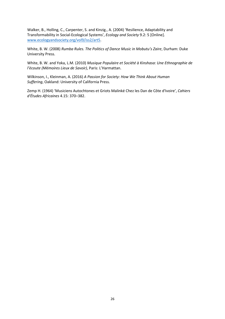Walker, B., Holling, C., Carpenter, S. and Kinzig., A. (2004) 'Resilience, Adaptability and Transformability in Social-Ecological Systems', *Ecology and Society* 9.2: 5 [Online]. [www.ecologyandsociety.org/vol9/iss2/art5.](http://www.ecologyandsociety.org/vol9/iss2/art5)

White, B. W. (2008) *Rumba Rules. The Politics of Dance Music in Mobutu's Zaire*, Durham: Duke University Press.

White, B. W. and Yoka, L.M. (2010) *Musique Populaire et Société à Kinshasa: Une Ethnographie de l'écoute (Mémoires Lieux de Savoir)*, Paris: L'Harmattan.

Wilkinson, I., Kleinman, A. (2016) *A Passion for Society: How We Think About Human Suffering*, Oakland: University of California Press.

Zemp H. (1964) 'Musiciens Autochtones et Griots Malinké Chez les Dan de Côte d'Ivoire', *Cahiers d'Études Africaines* 4.15: 370–382.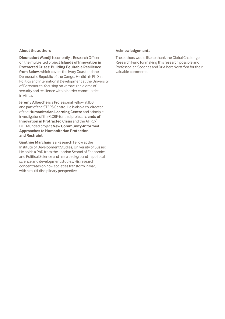#### **About the authors**

**Dieunedort Wandji** is currently a Research Officer on the multi-sited project **[Islands of Innovation in](https://www.ids.ac.uk/projects/islands-of-innovation-in-protracted-crises-a-new-approach-to-building-equitable-resilience-from-below/)  [Protracted Crises: Building Equitable Resilience](https://www.ids.ac.uk/projects/islands-of-innovation-in-protracted-crises-a-new-approach-to-building-equitable-resilience-from-below/)  [from Below](https://www.ids.ac.uk/projects/islands-of-innovation-in-protracted-crises-a-new-approach-to-building-equitable-resilience-from-below/)**, which covers the Ivory Coast and the Democratic Republic of the Congo. He did his PhD in Politics and International Development at the University of Portsmouth, focusing on vernacular idioms of security and resilience within border communities in Africa.

**Jeremy Allouche** is a Professorial Fellow at IDS, and part of the STEPS Centre. He is also a co-director of the **[Humanitarian Learning Centre](https://www.ids.ac.uk/programme-and-centre/humanitarian-learning-centre/)** and principle investigator of the GCRF-funded project **[Islands of](https://www.ids.ac.uk/projects/islands-of-innovation-in-protracted-crises-a-new-approach-to-building-equitable-resilience-from-below/)  [Innovation in Protracted Crisis](https://www.ids.ac.uk/projects/islands-of-innovation-in-protracted-crises-a-new-approach-to-building-equitable-resilience-from-below/)** and the AHRC/ DFID-funded project **[New Community-Informed](https://www.ids.ac.uk/projects/new-community-informed-approaches-to-humanitarian-protection-and-restraint/)  [Approaches to Humanitarian Protection](https://www.ids.ac.uk/projects/new-community-informed-approaches-to-humanitarian-protection-and-restraint/)  [and Restraint](https://www.ids.ac.uk/projects/new-community-informed-approaches-to-humanitarian-protection-and-restraint/)**.

**Gauthier Marchais** is a Research Fellow at the Institute of Development Studies, University of Sussex. He holds a PhD from the London School of Economics and Political Science and has a background in political science and development studies. His research concentrates on how societies transform in war, with a multi-disciplinary perspective.

#### **Acknowledgements**

The authors would like to thank the Global Challenge Research Fund for making this research possible and Professor Ian Scoones and Dr Albert Norström for their valuable comments.